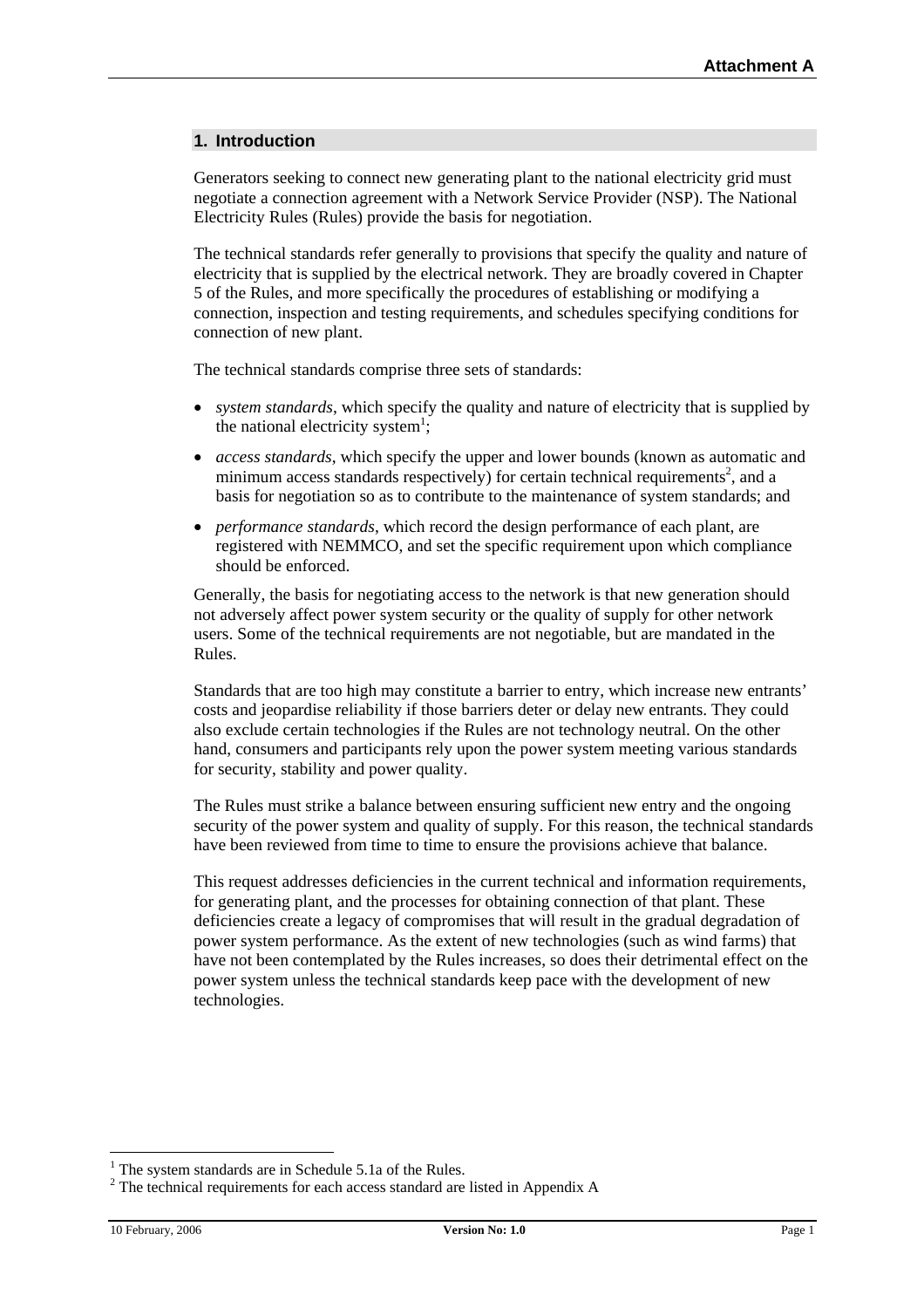### **1. Introduction**

Generators seeking to connect new generating plant to the national electricity grid must negotiate a connection agreement with a Network Service Provider (NSP). The National Electricity Rules (Rules) provide the basis for negotiation.

The technical standards refer generally to provisions that specify the quality and nature of electricity that is supplied by the electrical network. They are broadly covered in Chapter 5 of the Rules, and more specifically the procedures of establishing or modifying a connection, inspection and testing requirements, and schedules specifying conditions for connection of new plant.

The technical standards comprise three sets of standards:

- *system standards*, which specify the quality and nature of electricity that is supplied by the national electricity system<sup>1</sup>;
- *access standards*, which specify the upper and lower bounds (known as automatic and minimum access standards respectively) for certain technical requirements<sup>[2](#page-0-1)</sup>, and a basis for negotiation so as to contribute to the maintenance of system standards; and
- *performance standards*, which record the design performance of each plant, are registered with NEMMCO, and set the specific requirement upon which compliance should be enforced.

Generally, the basis for negotiating access to the network is that new generation should not adversely affect power system security or the quality of supply for other network users. Some of the technical requirements are not negotiable, but are mandated in the Rules.

Standards that are too high may constitute a barrier to entry, which increase new entrants' costs and jeopardise reliability if those barriers deter or delay new entrants. They could also exclude certain technologies if the Rules are not technology neutral. On the other hand, consumers and participants rely upon the power system meeting various standards for security, stability and power quality.

The Rules must strike a balance between ensuring sufficient new entry and the ongoing security of the power system and quality of supply. For this reason, the technical standards have been reviewed from time to time to ensure the provisions achieve that balance.

This request addresses deficiencies in the current technical and information requirements, for generating plant, and the processes for obtaining connection of that plant. These deficiencies create a legacy of compromises that will result in the gradual degradation of power system performance. As the extent of new technologies (such as wind farms) that have not been contemplated by the Rules increases, so does their detrimental effect on the power system unless the technical standards keep pace with the development of new technologies.

<span id="page-0-0"></span> $\frac{1}{1}$  $1$ <sup>1</sup> The system standards are in Schedule 5.1a of the Rules.

<span id="page-0-1"></span><sup>&</sup>lt;sup>2</sup> The technical requirements for each access standard are listed in Appendix A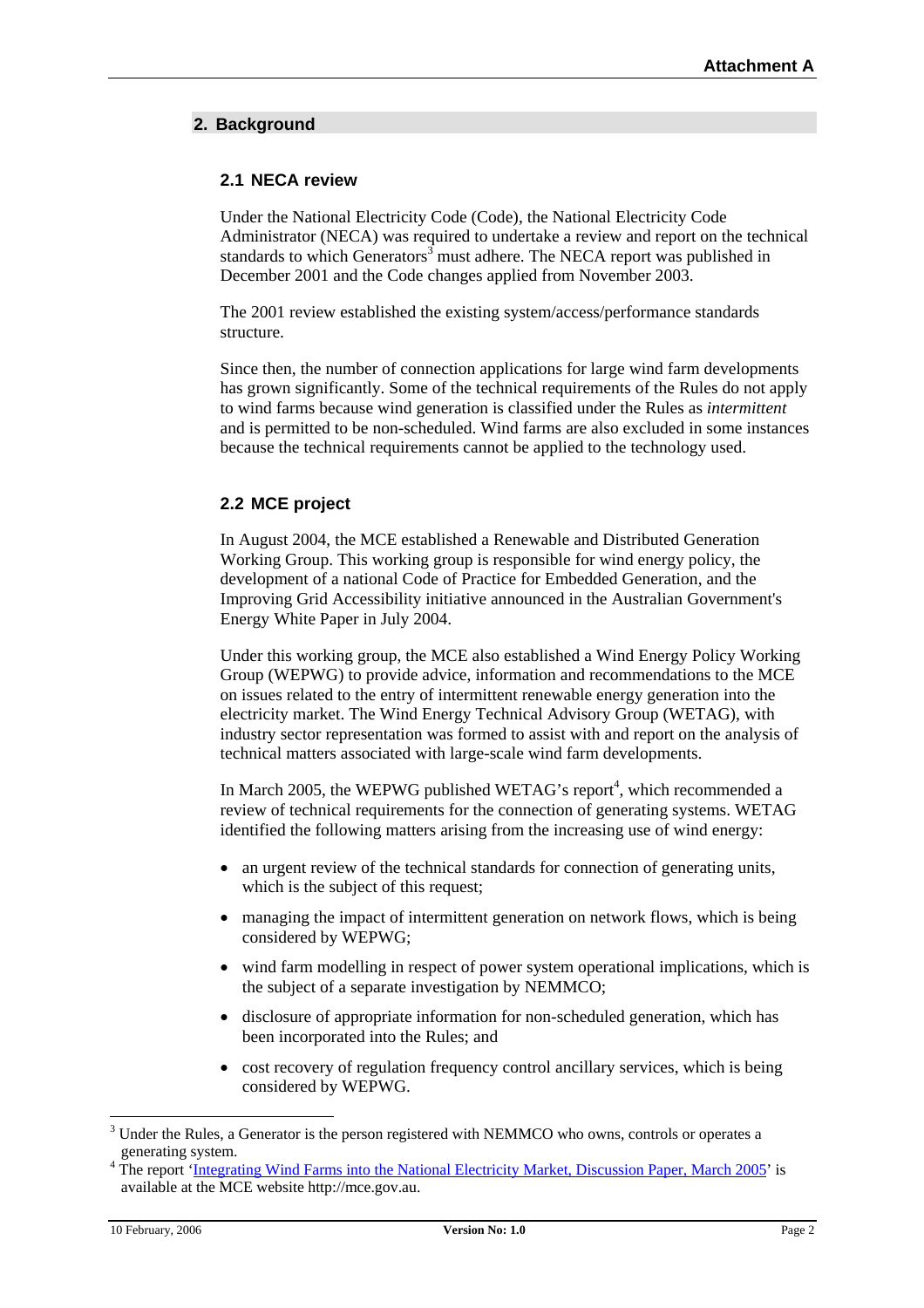# **2. Background**

## **2.1 NECA review**

Under the National Electricity Code (Code), the National Electricity Code Administrator (NECA) was required to undertake a review and report on the technical standards to which Generators<sup>3</sup> must adhere. The NECA report was published in December 2001 and the Code changes applied from November 2003.

The 2001 review established the existing system/access/performance standards structure.

Since then, the number of connection applications for large wind farm developments has grown significantly. Some of the technical requirements of the Rules do not apply to wind farms because wind generation is classified under the Rules as *intermittent* and is permitted to be non-scheduled. Wind farms are also excluded in some instances because the technical requirements cannot be applied to the technology used.

# **2.2 MCE project**

In August 2004, the MCE established a Renewable and Distributed Generation Working Group. This working group is responsible for wind energy policy, the development of a national Code of Practice for Embedded Generation, and the Improving Grid Accessibility initiative announced in the Australian Government's Energy White Paper in July 2004.

Under this working group, the MCE also established a Wind Energy Policy Working Group (WEPWG) to provide advice, information and recommendations to the MCE on issues related to the entry of intermittent renewable energy generation into the electricity market. The Wind Energy Technical Advisory Group (WETAG), with industry sector representation was formed to assist with and report on the analysis of technical matters associated with large-scale wind farm developments.

In March 2005, the WEPWG published WETAG's report<sup>[4](#page-1-1)</sup>, which recommended a review of technical requirements for the connection of generating systems. WETAG identified the following matters arising from the increasing use of wind energy:

- an urgent review of the technical standards for connection of generating units, which is the subject of this request;
- managing the impact of intermittent generation on network flows, which is being considered by WEPWG;
- wind farm modelling in respect of power system operational implications, which is the subject of a separate investigation by NEMMCO;
- disclosure of appropriate information for non-scheduled generation, which has been incorporated into the Rules; and
- cost recovery of regulation frequency control ancillary services, which is being considered by WEPWG.

<span id="page-1-0"></span><sup>&</sup>lt;sup>2</sup><br>3 <sup>3</sup> Under the Rules, a Generator is the person registered with NEMMCO who owns, controls or operates a generating system. 4

<span id="page-1-1"></span><sup>&</sup>lt;sup>4</sup> The report 'Integrating Wind [Farms into the National Electricity Market, Discussion](http://www.mce.gov.au/index.cfm?event=object.showContent&objectID=C74DA46E-65BF-4956-BB67A284B54DB65E) Paper, March 2005' is available at the MCE website http://mce.gov.au.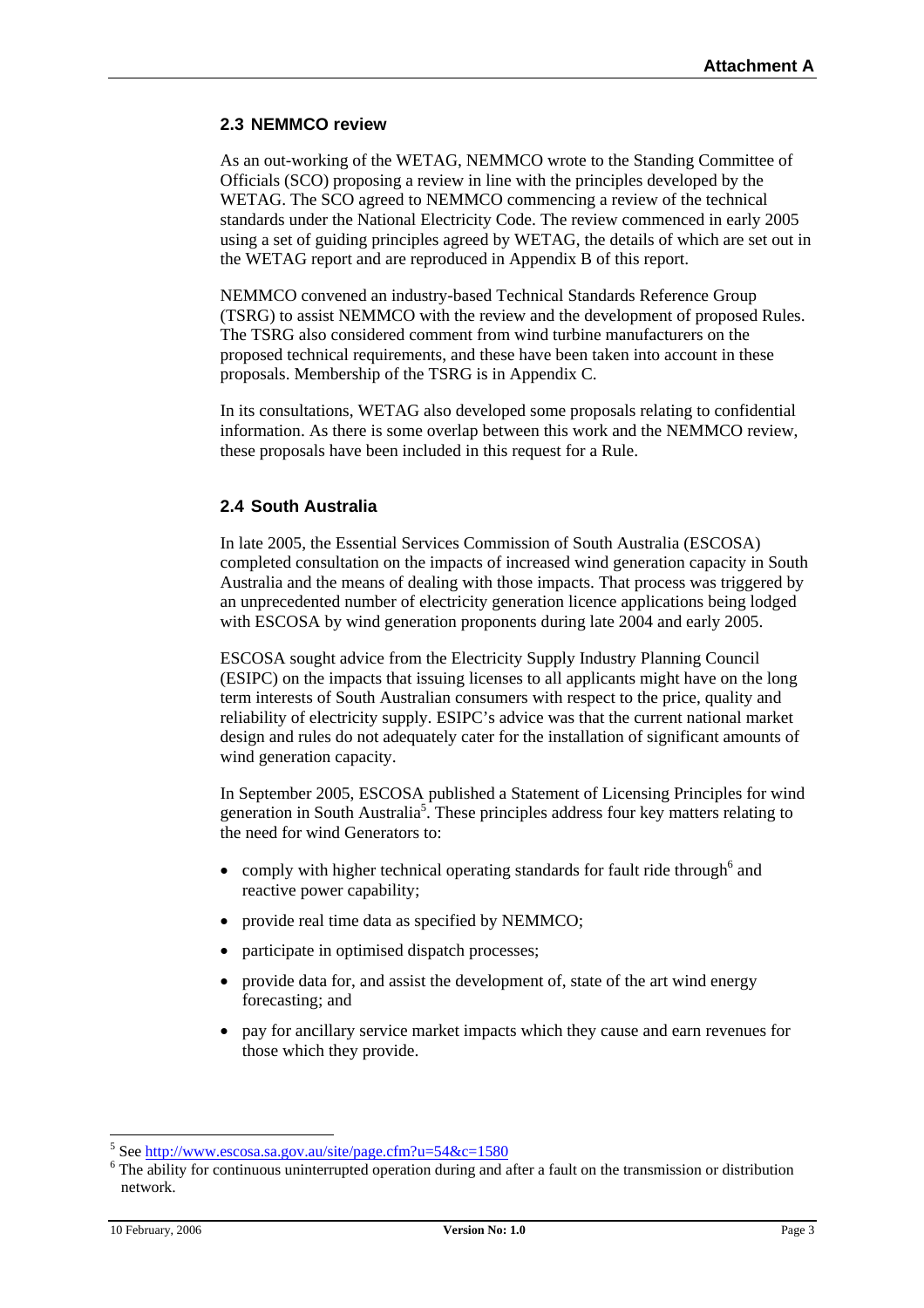### **2.3 NEMMCO review**

As an out-working of the WETAG, NEMMCO wrote to the Standing Committee of Officials (SCO) proposing a review in line with the principles developed by the WETAG. The SCO agreed to NEMMCO commencing a review of the technical standards under the National Electricity Code. The review commenced in early 2005 using a set of guiding principles agreed by WETAG, the details of which are set out in the WETAG report and are reproduced in Appendix B of this report.

NEMMCO convened an industry-based Technical Standards Reference Group (TSRG) to assist NEMMCO with the review and the development of proposed Rules. The TSRG also considered comment from wind turbine manufacturers on the proposed technical requirements, and these have been taken into account in these proposals. Membership of the TSRG is in Appendix C.

In its consultations, WETAG also developed some proposals relating to confidential information. As there is some overlap between this work and the NEMMCO review, these proposals have been included in this request for a Rule.

### **2.4 South Australia**

In late 2005, the Essential Services Commission of South Australia (ESCOSA) completed consultation on the impacts of increased wind generation capacity in South Australia and the means of dealing with those impacts. That process was triggered by an unprecedented number of electricity generation licence applications being lodged with ESCOSA by wind generation proponents during late 2004 and early 2005.

ESCOSA sought advice from the Electricity Supply Industry Planning Council (ESIPC) on the impacts that issuing licenses to all applicants might have on the long term interests of South Australian consumers with respect to the price, quality and reliability of electricity supply. ESIPC's advice was that the current national market design and rules do not adequately cater for the installation of significant amounts of wind generation capacity.

In September 2005, ESCOSA published a Statement of Licensing Principles for wind generation in South Australia<sup>[5](#page-2-0)</sup>. These principles address four key matters relating to the need for wind Generators to:

- comply with higher technical operating standards for fault ride through  $6$  and reactive power capability;
- provide real time data as specified by NEMMCO;
- participate in optimised dispatch processes;
- provide data for, and assist the development of, state of the art wind energy forecasting; and
- pay for ancillary service market impacts which they cause and earn revenues for those which they provide.

 <sup>5</sup>  $5$  See <http://www.escosa.sa.gov.au/site/page.cfm?u=54&c=1580>

<span id="page-2-1"></span><span id="page-2-0"></span><sup>&</sup>lt;sup>6</sup> The ability for continuous uninterrupted operation during and after a fault on the transmission or distribution network.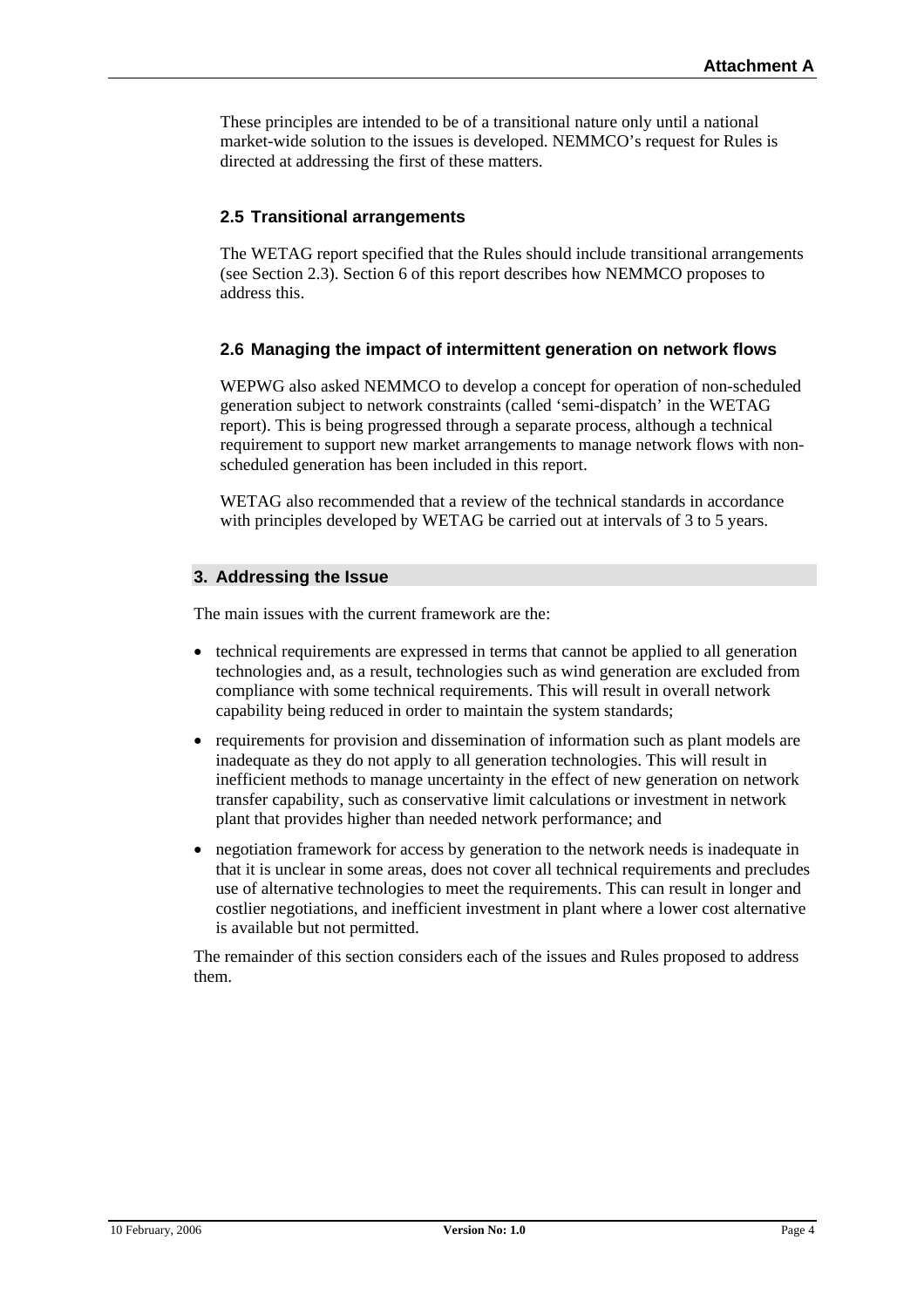These principles are intended to be of a transitional nature only until a national market-wide solution to the issues is developed. NEMMCO's request for Rules is directed at addressing the first of these matters.

# **2.5 Transitional arrangements**

The WETAG report specified that the Rules should include transitional arrangements (see Section 2.3). Section 6 of this report describes how NEMMCO proposes to address this.

### **2.6 Managing the impact of intermittent generation on network flows**

WEPWG also asked NEMMCO to develop a concept for operation of non-scheduled generation subject to network constraints (called 'semi-dispatch' in the WETAG report). This is being progressed through a separate process, although a technical requirement to support new market arrangements to manage network flows with nonscheduled generation has been included in this report.

WETAG also recommended that a review of the technical standards in accordance with principles developed by WETAG be carried out at intervals of 3 to 5 years.

### **3. Addressing the Issue**

The main issues with the current framework are the:

- technical requirements are expressed in terms that cannot be applied to all generation technologies and, as a result, technologies such as wind generation are excluded from compliance with some technical requirements. This will result in overall network capability being reduced in order to maintain the system standards;
- requirements for provision and dissemination of information such as plant models are inadequate as they do not apply to all generation technologies. This will result in inefficient methods to manage uncertainty in the effect of new generation on network transfer capability, such as conservative limit calculations or investment in network plant that provides higher than needed network performance; and
- negotiation framework for access by generation to the network needs is inadequate in that it is unclear in some areas, does not cover all technical requirements and precludes use of alternative technologies to meet the requirements. This can result in longer and costlier negotiations, and inefficient investment in plant where a lower cost alternative is available but not permitted.

The remainder of this section considers each of the issues and Rules proposed to address them.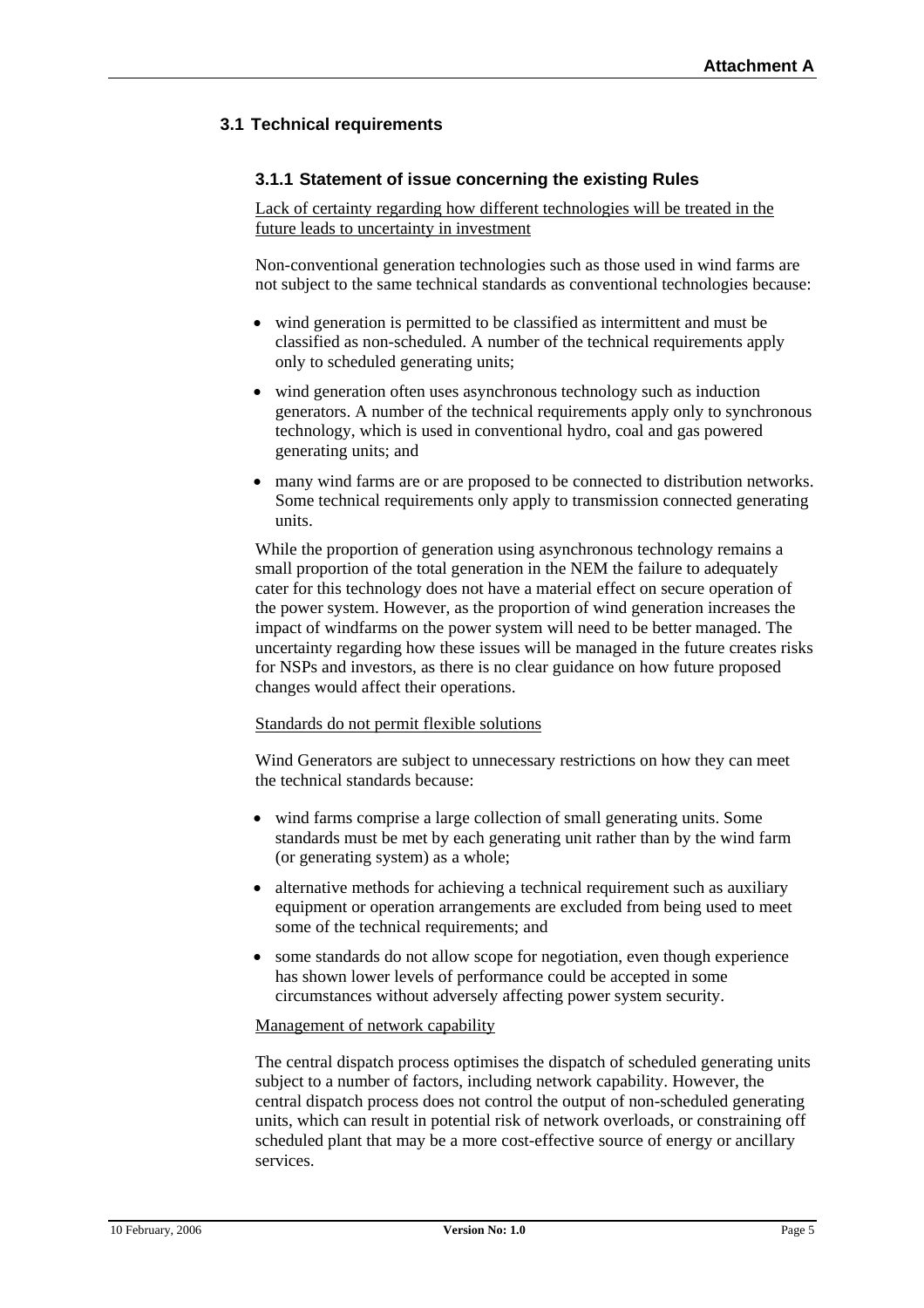# **3.1 Technical requirements**

### **3.1.1 Statement of issue concerning the existing Rules**

Lack of certainty regarding how different technologies will be treated in the future leads to uncertainty in investment

Non-conventional generation technologies such as those used in wind farms are not subject to the same technical standards as conventional technologies because:

- wind generation is permitted to be classified as intermittent and must be classified as non-scheduled. A number of the technical requirements apply only to scheduled generating units;
- wind generation often uses asynchronous technology such as induction generators. A number of the technical requirements apply only to synchronous technology, which is used in conventional hydro, coal and gas powered generating units; and
- many wind farms are or are proposed to be connected to distribution networks. Some technical requirements only apply to transmission connected generating units.

While the proportion of generation using asynchronous technology remains a small proportion of the total generation in the NEM the failure to adequately cater for this technology does not have a material effect on secure operation of the power system. However, as the proportion of wind generation increases the impact of windfarms on the power system will need to be better managed. The uncertainty regarding how these issues will be managed in the future creates risks for NSPs and investors, as there is no clear guidance on how future proposed changes would affect their operations.

#### Standards do not permit flexible solutions

Wind Generators are subject to unnecessary restrictions on how they can meet the technical standards because:

- wind farms comprise a large collection of small generating units. Some standards must be met by each generating unit rather than by the wind farm (or generating system) as a whole;
- alternative methods for achieving a technical requirement such as auxiliary equipment or operation arrangements are excluded from being used to meet some of the technical requirements; and
- some standards do not allow scope for negotiation, even though experience has shown lower levels of performance could be accepted in some circumstances without adversely affecting power system security.

#### Management of network capability

The central dispatch process optimises the dispatch of scheduled generating units subject to a number of factors, including network capability. However, the central dispatch process does not control the output of non-scheduled generating units, which can result in potential risk of network overloads, or constraining off scheduled plant that may be a more cost-effective source of energy or ancillary services.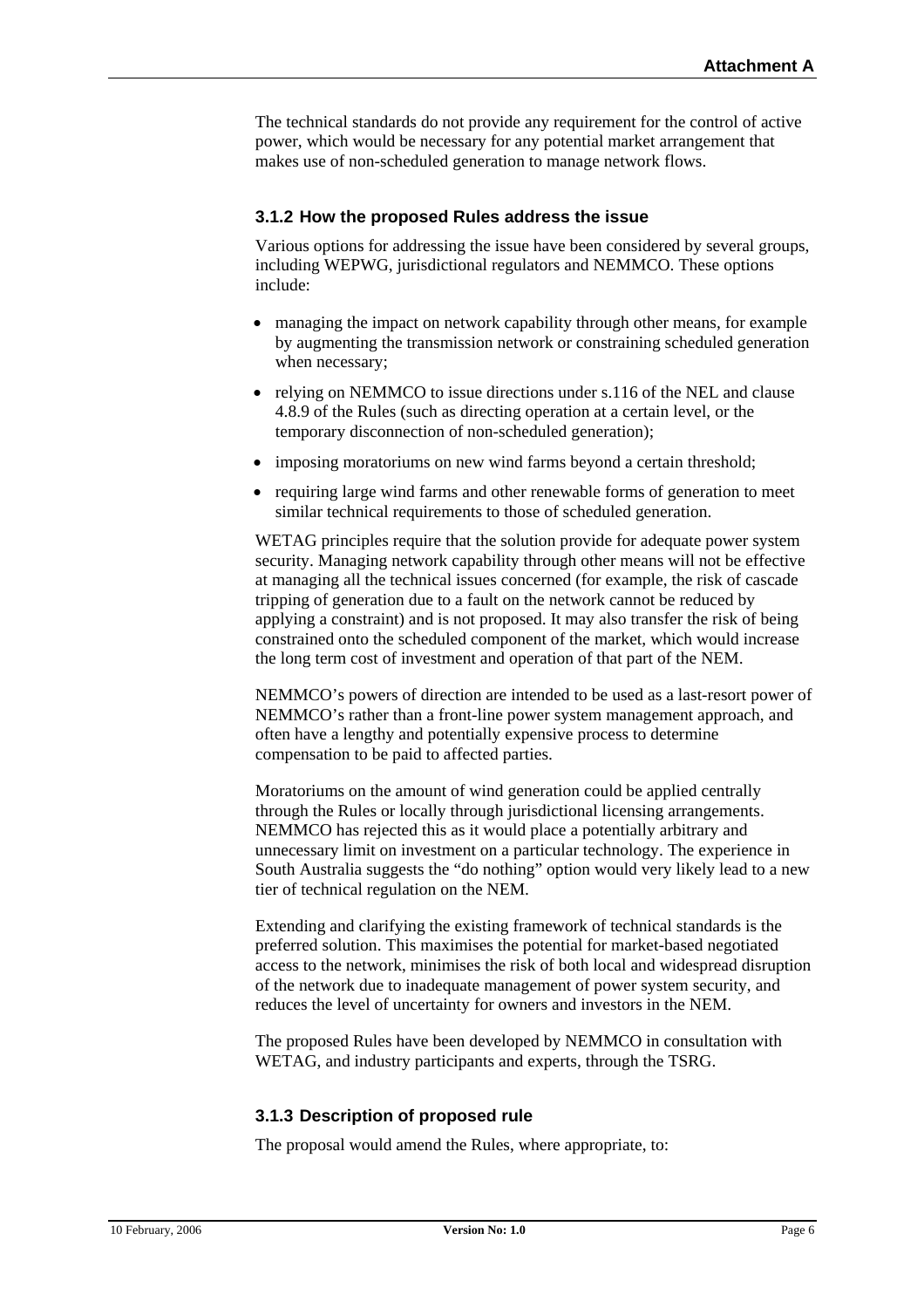The technical standards do not provide any requirement for the control of active power, which would be necessary for any potential market arrangement that makes use of non-scheduled generation to manage network flows.

### **3.1.2 How the proposed Rules address the issue**

Various options for addressing the issue have been considered by several groups, including WEPWG, jurisdictional regulators and NEMMCO. These options include:

- managing the impact on network capability through other means, for example by augmenting the transmission network or constraining scheduled generation when necessary;
- relying on NEMMCO to issue directions under s.116 of the NEL and clause 4.8.9 of the Rules (such as directing operation at a certain level, or the temporary disconnection of non-scheduled generation);
- imposing moratoriums on new wind farms beyond a certain threshold:
- requiring large wind farms and other renewable forms of generation to meet similar technical requirements to those of scheduled generation.

WETAG principles require that the solution provide for adequate power system security. Managing network capability through other means will not be effective at managing all the technical issues concerned (for example, the risk of cascade tripping of generation due to a fault on the network cannot be reduced by applying a constraint) and is not proposed. It may also transfer the risk of being constrained onto the scheduled component of the market, which would increase the long term cost of investment and operation of that part of the NEM.

NEMMCO's powers of direction are intended to be used as a last-resort power of NEMMCO's rather than a front-line power system management approach, and often have a lengthy and potentially expensive process to determine compensation to be paid to affected parties.

Moratoriums on the amount of wind generation could be applied centrally through the Rules or locally through jurisdictional licensing arrangements. NEMMCO has rejected this as it would place a potentially arbitrary and unnecessary limit on investment on a particular technology. The experience in South Australia suggests the "do nothing" option would very likely lead to a new tier of technical regulation on the NEM.

Extending and clarifying the existing framework of technical standards is the preferred solution. This maximises the potential for market-based negotiated access to the network, minimises the risk of both local and widespread disruption of the network due to inadequate management of power system security, and reduces the level of uncertainty for owners and investors in the NEM.

The proposed Rules have been developed by NEMMCO in consultation with WETAG, and industry participants and experts, through the TSRG.

### **3.1.3 Description of proposed rule**

The proposal would amend the Rules, where appropriate, to: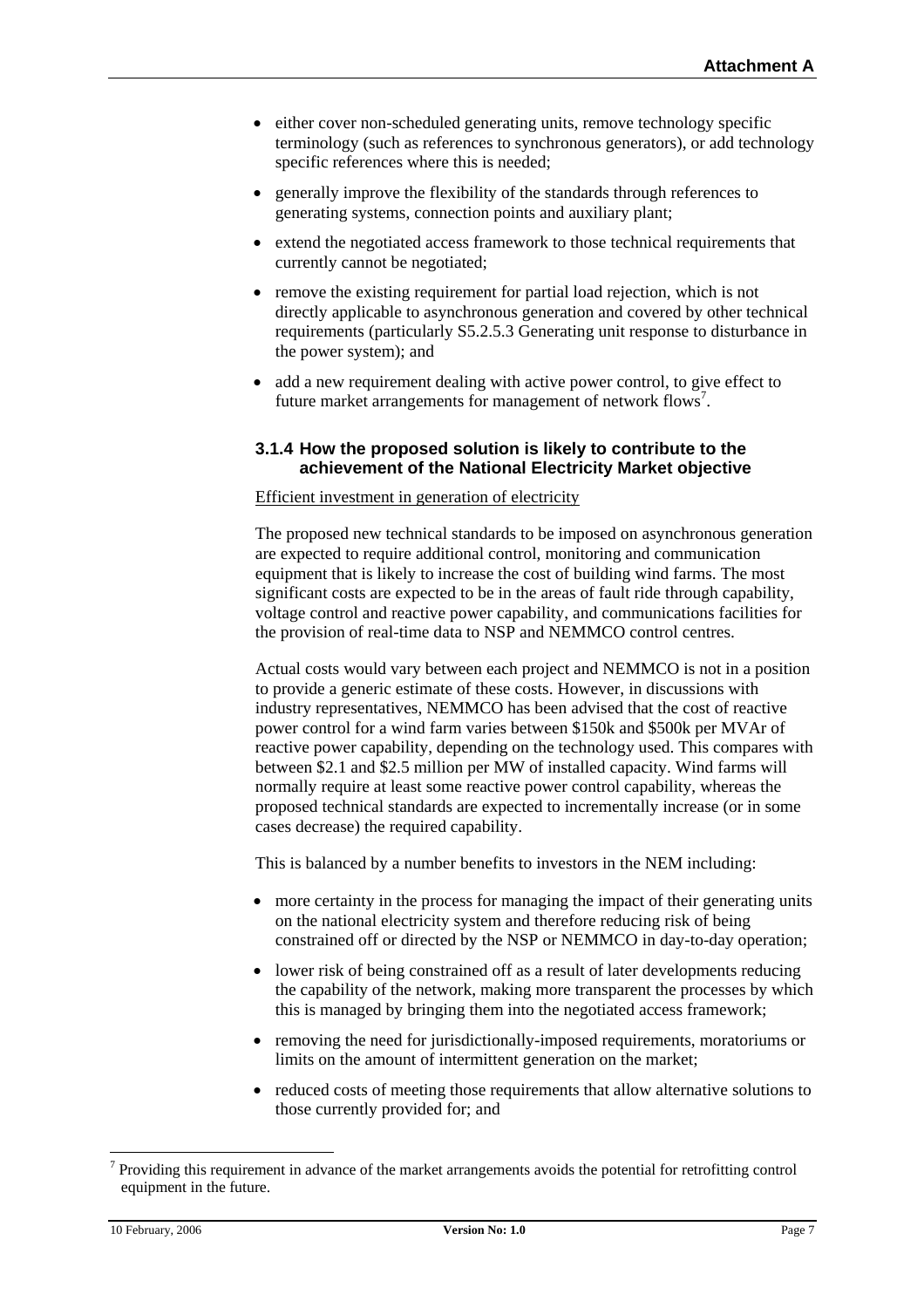- either cover non-scheduled generating units, remove technology specific terminology (such as references to synchronous generators), or add technology specific references where this is needed;
- generally improve the flexibility of the standards through references to generating systems, connection points and auxiliary plant;
- extend the negotiated access framework to those technical requirements that currently cannot be negotiated;
- remove the existing requirement for partial load rejection, which is not directly applicable to asynchronous generation and covered by other technical requirements (particularly S5.2.5.3 Generating unit response to disturbance in the power system); and
- add a new requirement dealing with active power control, to give effect to future market arrangements for management of network flows<sup>[7](#page-6-0)</sup>.

### **3.1.4 How the proposed solution is likely to contribute to the achievement of the National Electricity Market objective**

#### Efficient investment in generation of electricity

The proposed new technical standards to be imposed on asynchronous generation are expected to require additional control, monitoring and communication equipment that is likely to increase the cost of building wind farms. The most significant costs are expected to be in the areas of fault ride through capability, voltage control and reactive power capability, and communications facilities for the provision of real-time data to NSP and NEMMCO control centres.

Actual costs would vary between each project and NEMMCO is not in a position to provide a generic estimate of these costs. However, in discussions with industry representatives, NEMMCO has been advised that the cost of reactive power control for a wind farm varies between \$150k and \$500k per MVAr of reactive power capability, depending on the technology used. This compares with between \$2.1 and \$2.5 million per MW of installed capacity. Wind farms will normally require at least some reactive power control capability, whereas the proposed technical standards are expected to incrementally increase (or in some cases decrease) the required capability.

This is balanced by a number benefits to investors in the NEM including:

- more certainty in the process for managing the impact of their generating units on the national electricity system and therefore reducing risk of being constrained off or directed by the NSP or NEMMCO in day-to-day operation;
- lower risk of being constrained off as a result of later developments reducing the capability of the network, making more transparent the processes by which this is managed by bringing them into the negotiated access framework;
- removing the need for jurisdictionally-imposed requirements, moratoriums or limits on the amount of intermittent generation on the market;
- reduced costs of meeting those requirements that allow alternative solutions to those currently provided for; and

<span id="page-6-0"></span><sup>-&</sup>lt;br>7  $\frac{7}{1}$  Providing this requirement in advance of the market arrangements avoids the potential for retrofitting control equipment in the future.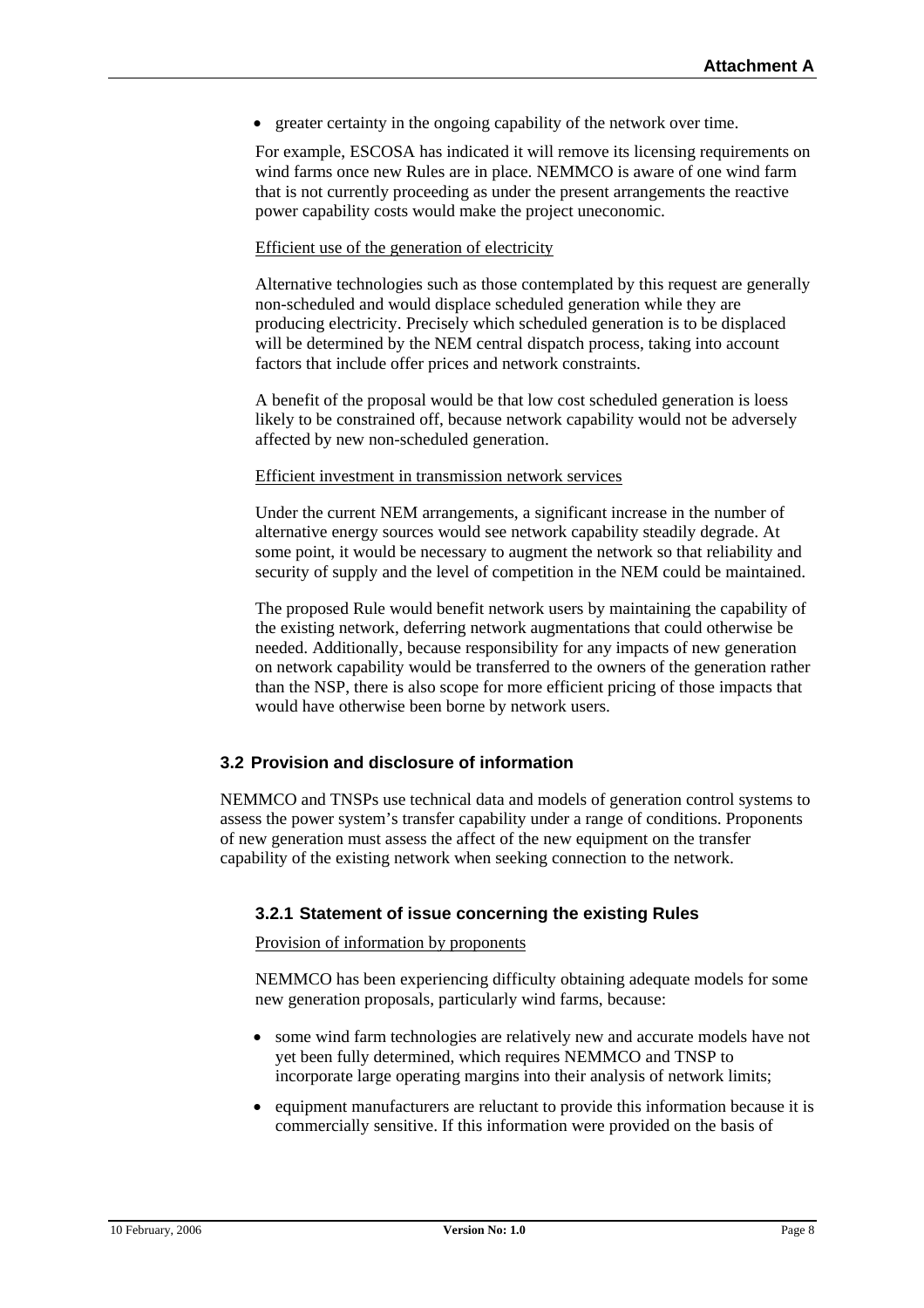• greater certainty in the ongoing capability of the network over time.

For example, ESCOSA has indicated it will remove its licensing requirements on wind farms once new Rules are in place. NEMMCO is aware of one wind farm that is not currently proceeding as under the present arrangements the reactive power capability costs would make the project uneconomic.

#### Efficient use of the generation of electricity

Alternative technologies such as those contemplated by this request are generally non-scheduled and would displace scheduled generation while they are producing electricity. Precisely which scheduled generation is to be displaced will be determined by the NEM central dispatch process, taking into account factors that include offer prices and network constraints.

A benefit of the proposal would be that low cost scheduled generation is loess likely to be constrained off, because network capability would not be adversely affected by new non-scheduled generation.

#### Efficient investment in transmission network services

Under the current NEM arrangements, a significant increase in the number of alternative energy sources would see network capability steadily degrade. At some point, it would be necessary to augment the network so that reliability and security of supply and the level of competition in the NEM could be maintained.

The proposed Rule would benefit network users by maintaining the capability of the existing network, deferring network augmentations that could otherwise be needed. Additionally, because responsibility for any impacts of new generation on network capability would be transferred to the owners of the generation rather than the NSP, there is also scope for more efficient pricing of those impacts that would have otherwise been borne by network users.

### **3.2 Provision and disclosure of information**

NEMMCO and TNSPs use technical data and models of generation control systems to assess the power system's transfer capability under a range of conditions. Proponents of new generation must assess the affect of the new equipment on the transfer capability of the existing network when seeking connection to the network.

### **3.2.1 Statement of issue concerning the existing Rules**

#### Provision of information by proponents

NEMMCO has been experiencing difficulty obtaining adequate models for some new generation proposals, particularly wind farms, because:

- some wind farm technologies are relatively new and accurate models have not yet been fully determined, which requires NEMMCO and TNSP to incorporate large operating margins into their analysis of network limits;
- equipment manufacturers are reluctant to provide this information because it is commercially sensitive. If this information were provided on the basis of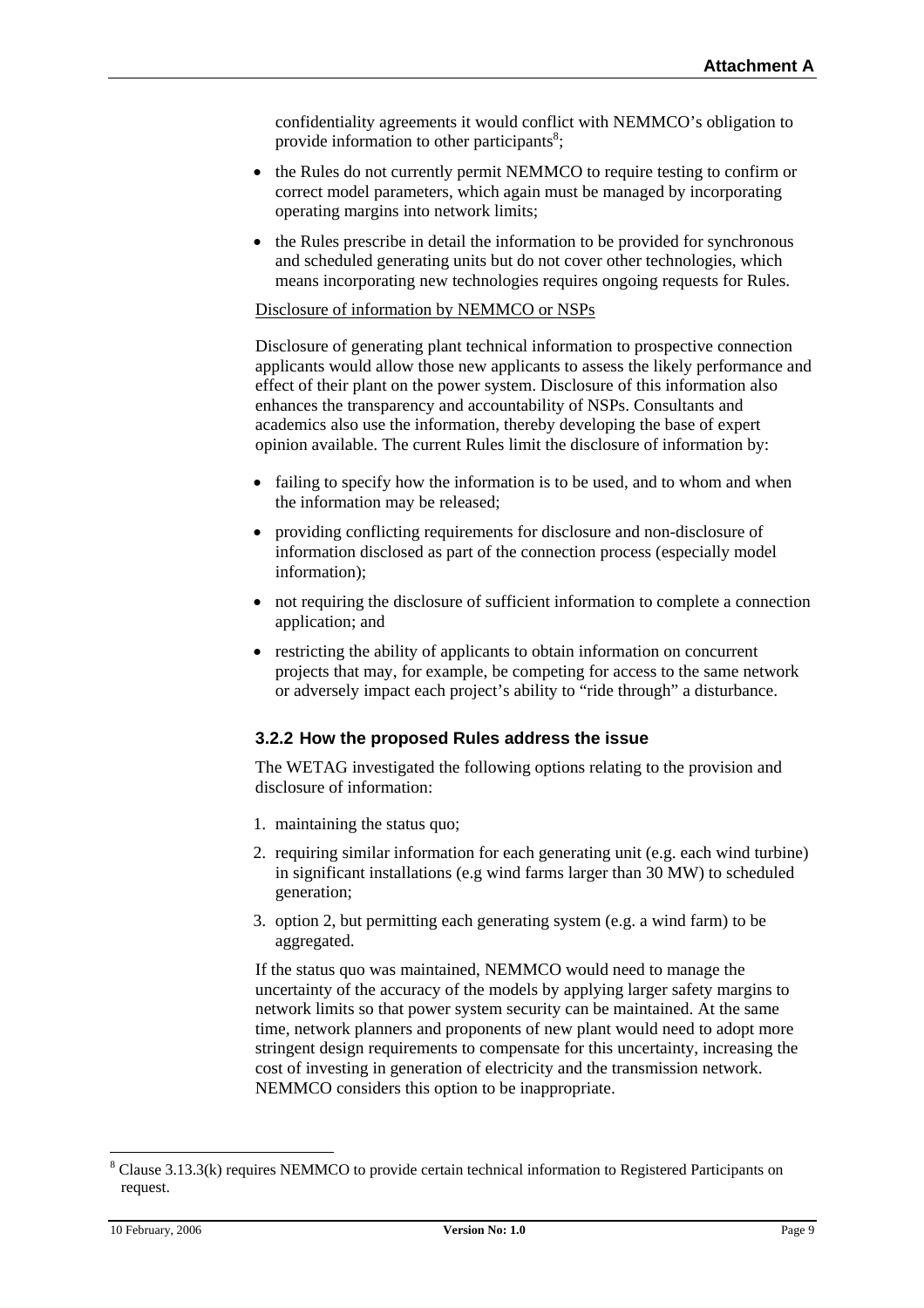confidentiality agreements it would conflict with NEMMCO's obligation to provide information to other participants<sup>8</sup>;

- the Rules do not currently permit NEMMCO to require testing to confirm or correct model parameters, which again must be managed by incorporating operating margins into network limits;
- the Rules prescribe in detail the information to be provided for synchronous and scheduled generating units but do not cover other technologies, which means incorporating new technologies requires ongoing requests for Rules.

#### Disclosure of information by NEMMCO or NSPs

Disclosure of generating plant technical information to prospective connection applicants would allow those new applicants to assess the likely performance and effect of their plant on the power system. Disclosure of this information also enhances the transparency and accountability of NSPs. Consultants and academics also use the information, thereby developing the base of expert opinion available. The current Rules limit the disclosure of information by:

- failing to specify how the information is to be used, and to whom and when the information may be released;
- providing conflicting requirements for disclosure and non-disclosure of information disclosed as part of the connection process (especially model information);
- not requiring the disclosure of sufficient information to complete a connection application; and
- restricting the ability of applicants to obtain information on concurrent projects that may, for example, be competing for access to the same network or adversely impact each project's ability to "ride through" a disturbance.

### **3.2.2 How the proposed Rules address the issue**

The WETAG investigated the following options relating to the provision and disclosure of information:

- 1. maintaining the status quo;
- 2. requiring similar information for each generating unit (e.g. each wind turbine) in significant installations (e.g wind farms larger than 30 MW) to scheduled generation;
- 3. option 2, but permitting each generating system (e.g. a wind farm) to be aggregated.

If the status quo was maintained, NEMMCO would need to manage the uncertainty of the accuracy of the models by applying larger safety margins to network limits so that power system security can be maintained. At the same time, network planners and proponents of new plant would need to adopt more stringent design requirements to compensate for this uncertainty, increasing the cost of investing in generation of electricity and the transmission network. NEMMCO considers this option to be inappropriate.

<span id="page-8-0"></span> <sup>8</sup> <sup>8</sup> Clause 3.13.3(k) requires NEMMCO to provide certain technical information to Registered Participants on request.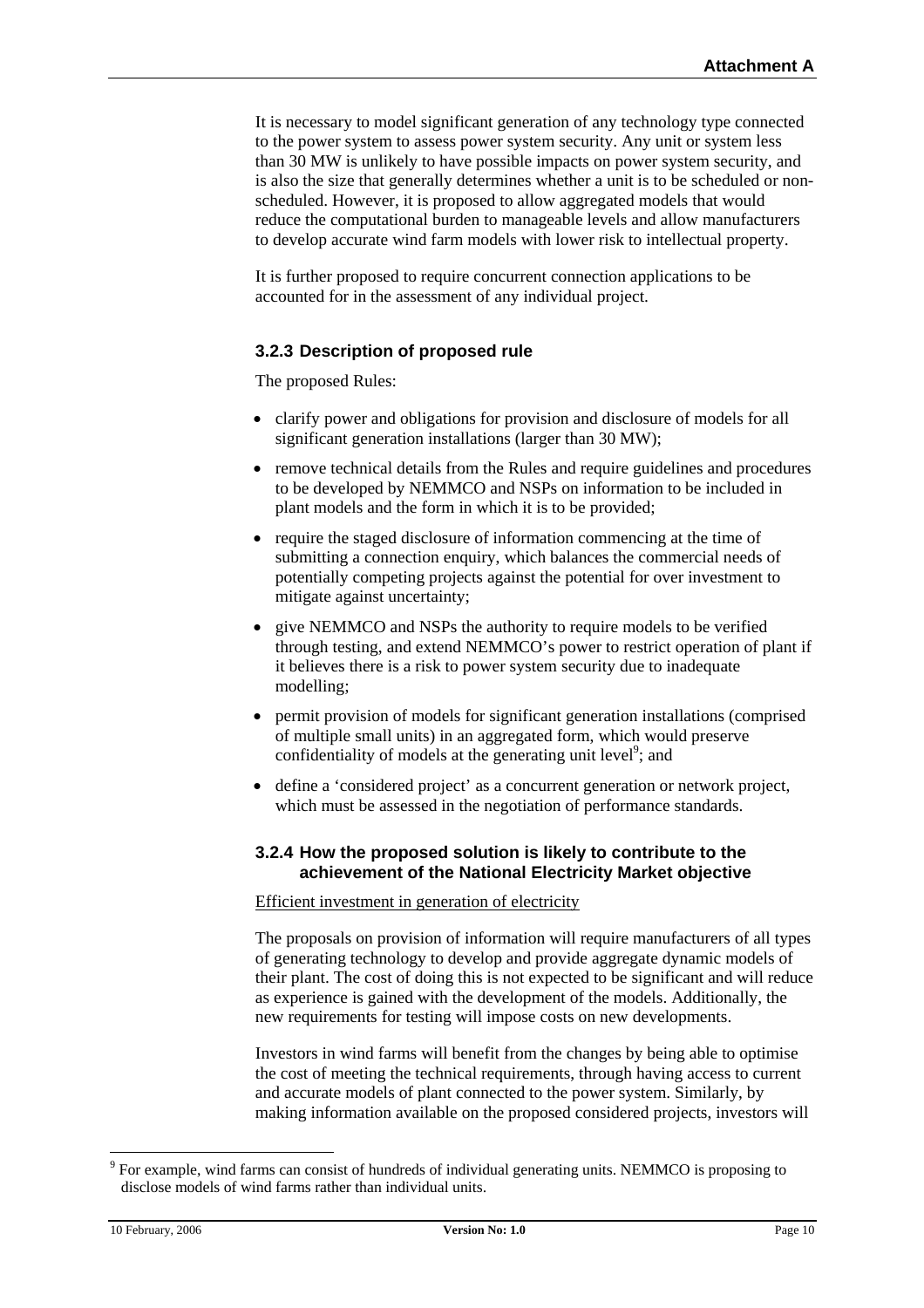It is necessary to model significant generation of any technology type connected to the power system to assess power system security. Any unit or system less than 30 MW is unlikely to have possible impacts on power system security, and is also the size that generally determines whether a unit is to be scheduled or nonscheduled. However, it is proposed to allow aggregated models that would reduce the computational burden to manageable levels and allow manufacturers to develop accurate wind farm models with lower risk to intellectual property.

It is further proposed to require concurrent connection applications to be accounted for in the assessment of any individual project.

### **3.2.3 Description of proposed rule**

The proposed Rules:

- clarify power and obligations for provision and disclosure of models for all significant generation installations (larger than 30 MW);
- remove technical details from the Rules and require guidelines and procedures to be developed by NEMMCO and NSPs on information to be included in plant models and the form in which it is to be provided;
- require the staged disclosure of information commencing at the time of submitting a connection enquiry, which balances the commercial needs of potentially competing projects against the potential for over investment to mitigate against uncertainty;
- give NEMMCO and NSPs the authority to require models to be verified through testing, and extend NEMMCO's power to restrict operation of plant if it believes there is a risk to power system security due to inadequate modelling;
- permit provision of models for significant generation installations (comprised of multiple small units) in an aggregated form, which would preserve confidentiality of models at the generating unit level<sup>[9](#page-9-0)</sup>; and
- define a 'considered project' as a concurrent generation or network project, which must be assessed in the negotiation of performance standards.

### **3.2.4 How the proposed solution is likely to contribute to the achievement of the National Electricity Market objective**

Efficient investment in generation of electricity

The proposals on provision of information will require manufacturers of all types of generating technology to develop and provide aggregate dynamic models of their plant. The cost of doing this is not expected to be significant and will reduce as experience is gained with the development of the models. Additionally, the new requirements for testing will impose costs on new developments.

Investors in wind farms will benefit from the changes by being able to optimise the cost of meeting the technical requirements, through having access to current and accurate models of plant connected to the power system. Similarly, by making information available on the proposed considered projects, investors will

<span id="page-9-0"></span><sup>-&</sup>lt;br>9 <sup>9</sup> For example, wind farms can consist of hundreds of individual generating units. NEMMCO is proposing to disclose models of wind farms rather than individual units.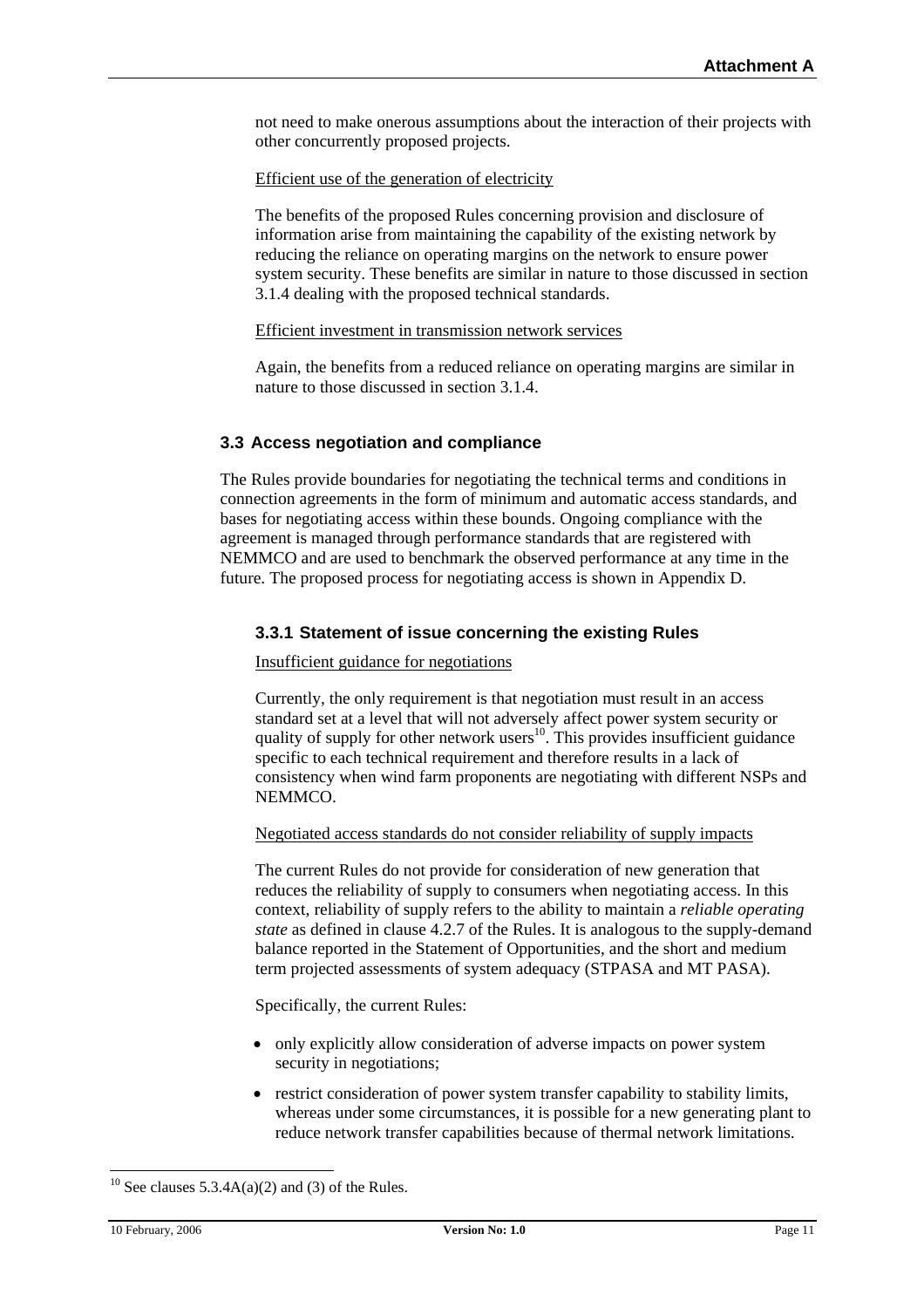not need to make onerous assumptions about the interaction of their projects with other concurrently proposed projects.

Efficient use of the generation of electricity

The benefits of the proposed Rules concerning provision and disclosure of information arise from maintaining the capability of the existing network by reducing the reliance on operating margins on the network to ensure power system security. These benefits are similar in nature to those discussed in section 3.1.4 dealing with the proposed technical standards.

#### Efficient investment in transmission network services

Again, the benefits from a reduced reliance on operating margins are similar in nature to those discussed in section 3.1.4.

### **3.3 Access negotiation and compliance**

The Rules provide boundaries for negotiating the technical terms and conditions in connection agreements in the form of minimum and automatic access standards, and bases for negotiating access within these bounds. Ongoing compliance with the agreement is managed through performance standards that are registered with NEMMCO and are used to benchmark the observed performance at any time in the future. The proposed process for negotiating access is shown in Appendix D.

### **3.3.1 Statement of issue concerning the existing Rules**

#### Insufficient guidance for negotiations

Currently, the only requirement is that negotiation must result in an access standard set at a level that will not adversely affect power system security or quality of supply for other network users<sup>10</sup>. This provides insufficient guidance specific to each technical requirement and therefore results in a lack of consistency when wind farm proponents are negotiating with different NSPs and NEMMCO.

#### Negotiated access standards do not consider reliability of supply impacts

The current Rules do not provide for consideration of new generation that reduces the reliability of supply to consumers when negotiating access. In this context, reliability of supply refers to the ability to maintain a *reliable operating state* as defined in clause 4.2.7 of the Rules. It is analogous to the supply-demand balance reported in the Statement of Opportunities, and the short and medium term projected assessments of system adequacy (STPASA and MT PASA).

Specifically, the current Rules:

- only explicitly allow consideration of adverse impacts on power system security in negotiations;
- restrict consideration of power system transfer capability to stability limits, whereas under some circumstances, it is possible for a new generating plant to reduce network transfer capabilities because of thermal network limitations.

<span id="page-10-0"></span><sup>&</sup>lt;sup>10</sup> See clauses 5.3.4A(a)(2) and (3) of the Rules.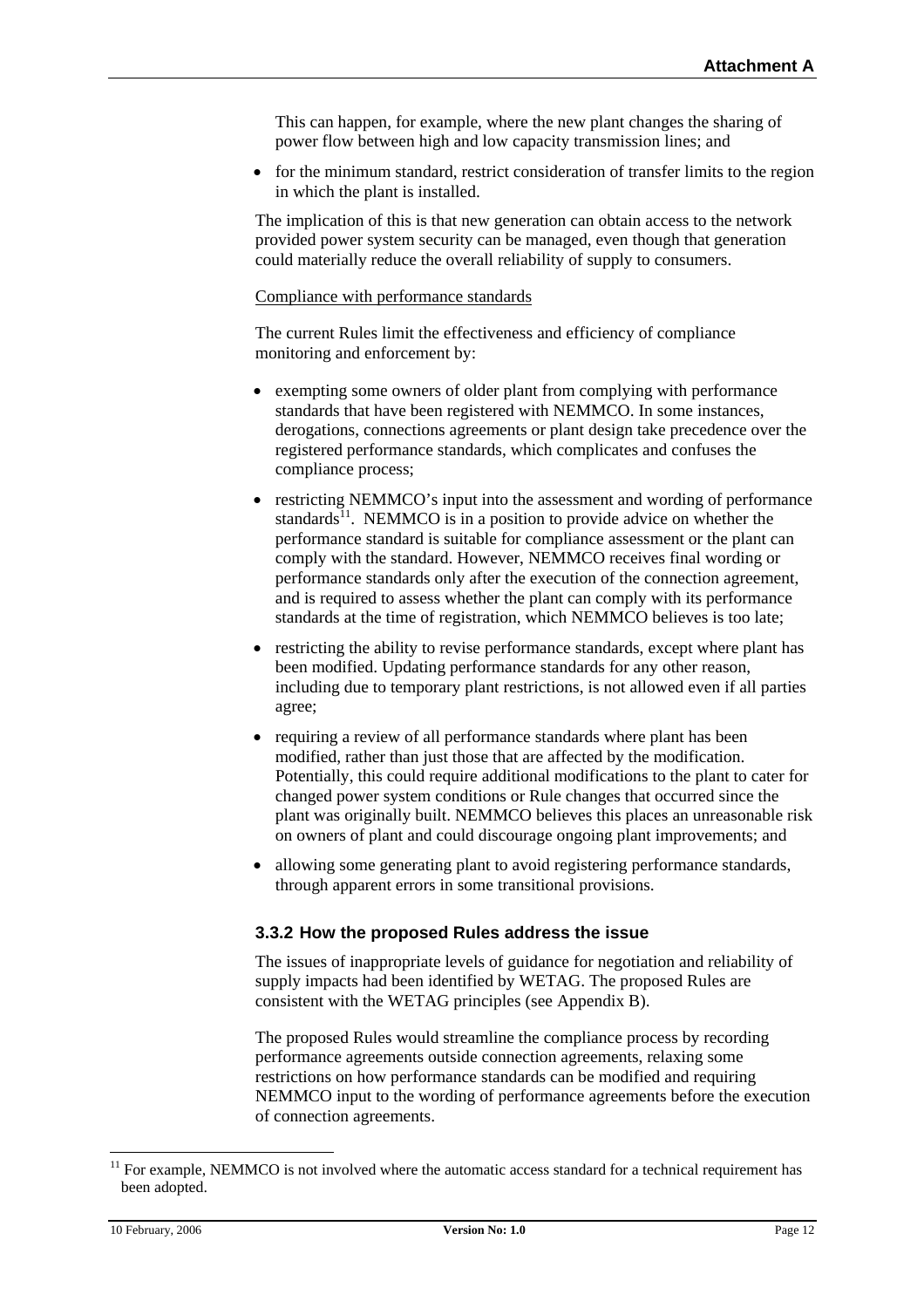This can happen, for example, where the new plant changes the sharing of power flow between high and low capacity transmission lines; and

• for the minimum standard, restrict consideration of transfer limits to the region in which the plant is installed.

The implication of this is that new generation can obtain access to the network provided power system security can be managed, even though that generation could materially reduce the overall reliability of supply to consumers.

#### Compliance with performance standards

The current Rules limit the effectiveness and efficiency of compliance monitoring and enforcement by:

- exempting some owners of older plant from complying with performance standards that have been registered with NEMMCO. In some instances, derogations, connections agreements or plant design take precedence over the registered performance standards, which complicates and confuses the compliance process;
- restricting NEMMCO's input into the assessment and wording of performance standards $^{11}$ . NEMMCO is in a position to provide advice on whether the performance standard is suitable for compliance assessment or the plant can comply with the standard. However, NEMMCO receives final wording or performance standards only after the execution of the connection agreement, and is required to assess whether the plant can comply with its performance standards at the time of registration, which NEMMCO believes is too late;
- restricting the ability to revise performance standards, except where plant has been modified. Updating performance standards for any other reason, including due to temporary plant restrictions, is not allowed even if all parties agree;
- requiring a review of all performance standards where plant has been modified, rather than just those that are affected by the modification. Potentially, this could require additional modifications to the plant to cater for changed power system conditions or Rule changes that occurred since the plant was originally built. NEMMCO believes this places an unreasonable risk on owners of plant and could discourage ongoing plant improvements; and
- allowing some generating plant to avoid registering performance standards, through apparent errors in some transitional provisions.

#### **3.3.2 How the proposed Rules address the issue**

The issues of inappropriate levels of guidance for negotiation and reliability of supply impacts had been identified by WETAG. The proposed Rules are consistent with the WETAG principles (see Appendix B).

The proposed Rules would streamline the compliance process by recording performance agreements outside connection agreements, relaxing some restrictions on how performance standards can be modified and requiring NEMMCO input to the wording of performance agreements before the execution of connection agreements.

<span id="page-11-0"></span> $11$  For example, NEMMCO is not involved where the automatic access standard for a technical requirement has been adopted.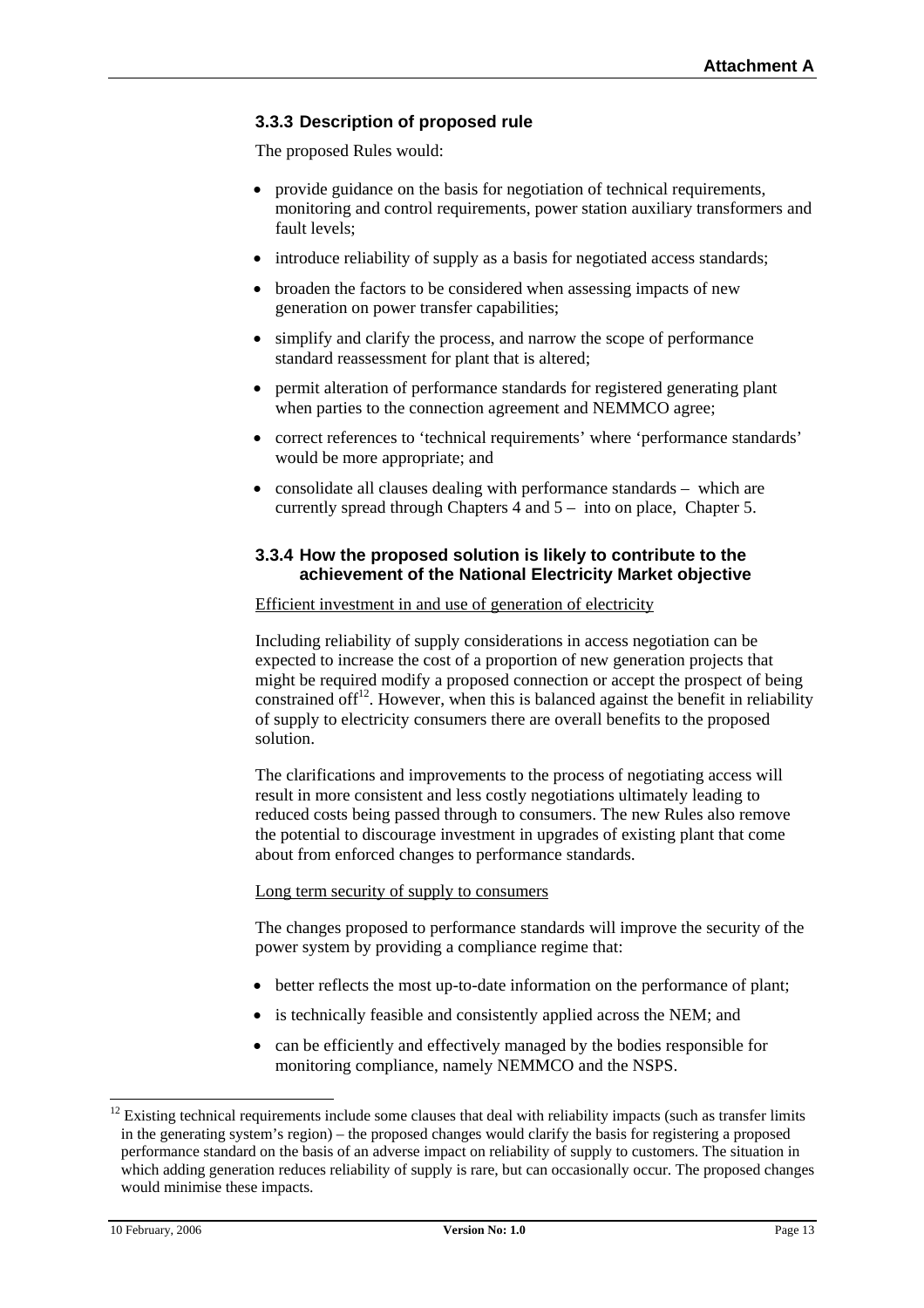## **3.3.3 Description of proposed rule**

The proposed Rules would:

- provide guidance on the basis for negotiation of technical requirements, monitoring and control requirements, power station auxiliary transformers and fault levels;
- introduce reliability of supply as a basis for negotiated access standards;
- broaden the factors to be considered when assessing impacts of new generation on power transfer capabilities;
- simplify and clarify the process, and narrow the scope of performance standard reassessment for plant that is altered;
- permit alteration of performance standards for registered generating plant when parties to the connection agreement and NEMMCO agree;
- correct references to 'technical requirements' where 'performance standards' would be more appropriate; and
- consolidate all clauses dealing with performance standards which are currently spread through Chapters 4 and 5 – into on place, Chapter 5.

### **3.3.4 How the proposed solution is likely to contribute to the achievement of the National Electricity Market objective**

#### Efficient investment in and use of generation of electricity

Including reliability of supply considerations in access negotiation can be expected to increase the cost of a proportion of new generation projects that might be required modify a proposed connection or accept the prospect of being constrained of  $f^{12}$ . However, when this is balanced against the benefit in reliability of supply to electricity consumers there are overall benefits to the proposed solution.

The clarifications and improvements to the process of negotiating access will result in more consistent and less costly negotiations ultimately leading to reduced costs being passed through to consumers. The new Rules also remove the potential to discourage investment in upgrades of existing plant that come about from enforced changes to performance standards.

#### Long term security of supply to consumers

The changes proposed to performance standards will improve the security of the power system by providing a compliance regime that:

- better reflects the most up-to-date information on the performance of plant;
- is technically feasible and consistently applied across the NEM; and
- can be efficiently and effectively managed by the bodies responsible for monitoring compliance, namely NEMMCO and the NSPS.

<span id="page-12-0"></span> $12$  Existing technical requirements include some clauses that deal with reliability impacts (such as transfer limits in the generating system's region) – the proposed changes would clarify the basis for registering a proposed performance standard on the basis of an adverse impact on reliability of supply to customers. The situation in which adding generation reduces reliability of supply is rare, but can occasionally occur. The proposed changes would minimise these impacts.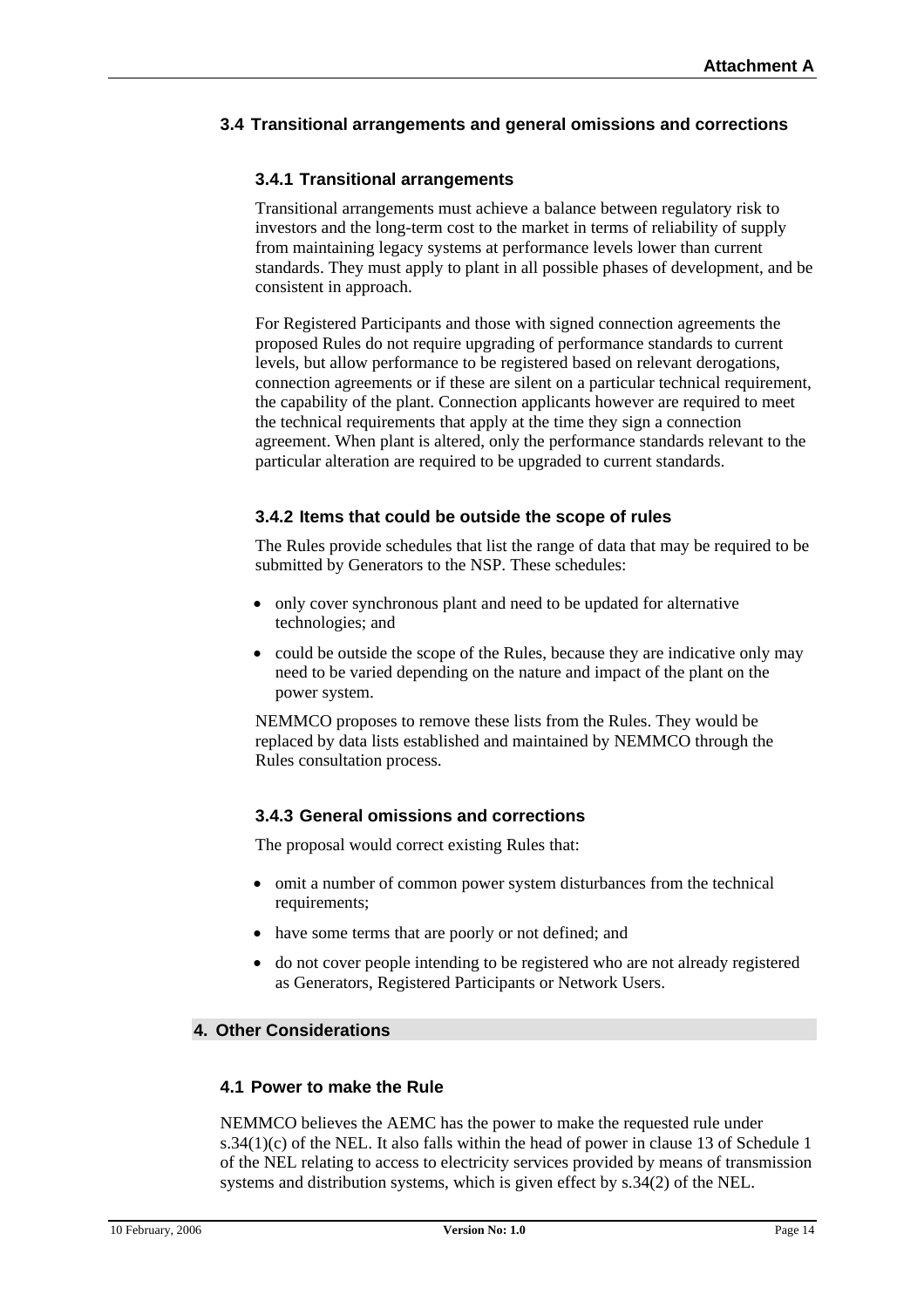# **3.4 Transitional arrangements and general omissions and corrections**

# **3.4.1 Transitional arrangements**

Transitional arrangements must achieve a balance between regulatory risk to investors and the long-term cost to the market in terms of reliability of supply from maintaining legacy systems at performance levels lower than current standards. They must apply to plant in all possible phases of development, and be consistent in approach.

For Registered Participants and those with signed connection agreements the proposed Rules do not require upgrading of performance standards to current levels, but allow performance to be registered based on relevant derogations, connection agreements or if these are silent on a particular technical requirement, the capability of the plant. Connection applicants however are required to meet the technical requirements that apply at the time they sign a connection agreement. When plant is altered, only the performance standards relevant to the particular alteration are required to be upgraded to current standards.

### **3.4.2 Items that could be outside the scope of rules**

The Rules provide schedules that list the range of data that may be required to be submitted by Generators to the NSP. These schedules:

- only cover synchronous plant and need to be updated for alternative technologies; and
- could be outside the scope of the Rules, because they are indicative only may need to be varied depending on the nature and impact of the plant on the power system.

NEMMCO proposes to remove these lists from the Rules. They would be replaced by data lists established and maintained by NEMMCO through the Rules consultation process.

### **3.4.3 General omissions and corrections**

The proposal would correct existing Rules that:

- omit a number of common power system disturbances from the technical requirements;
- have some terms that are poorly or not defined; and
- do not cover people intending to be registered who are not already registered as Generators, Registered Participants or Network Users.

# **4. Other Considerations**

### **4.1 Power to make the Rule**

NEMMCO believes the AEMC has the power to make the requested rule under  $s.34(1)(c)$  of the NEL. It also falls within the head of power in clause 13 of Schedule 1 of the NEL relating to access to electricity services provided by means of transmission systems and distribution systems, which is given effect by s.34(2) of the NEL.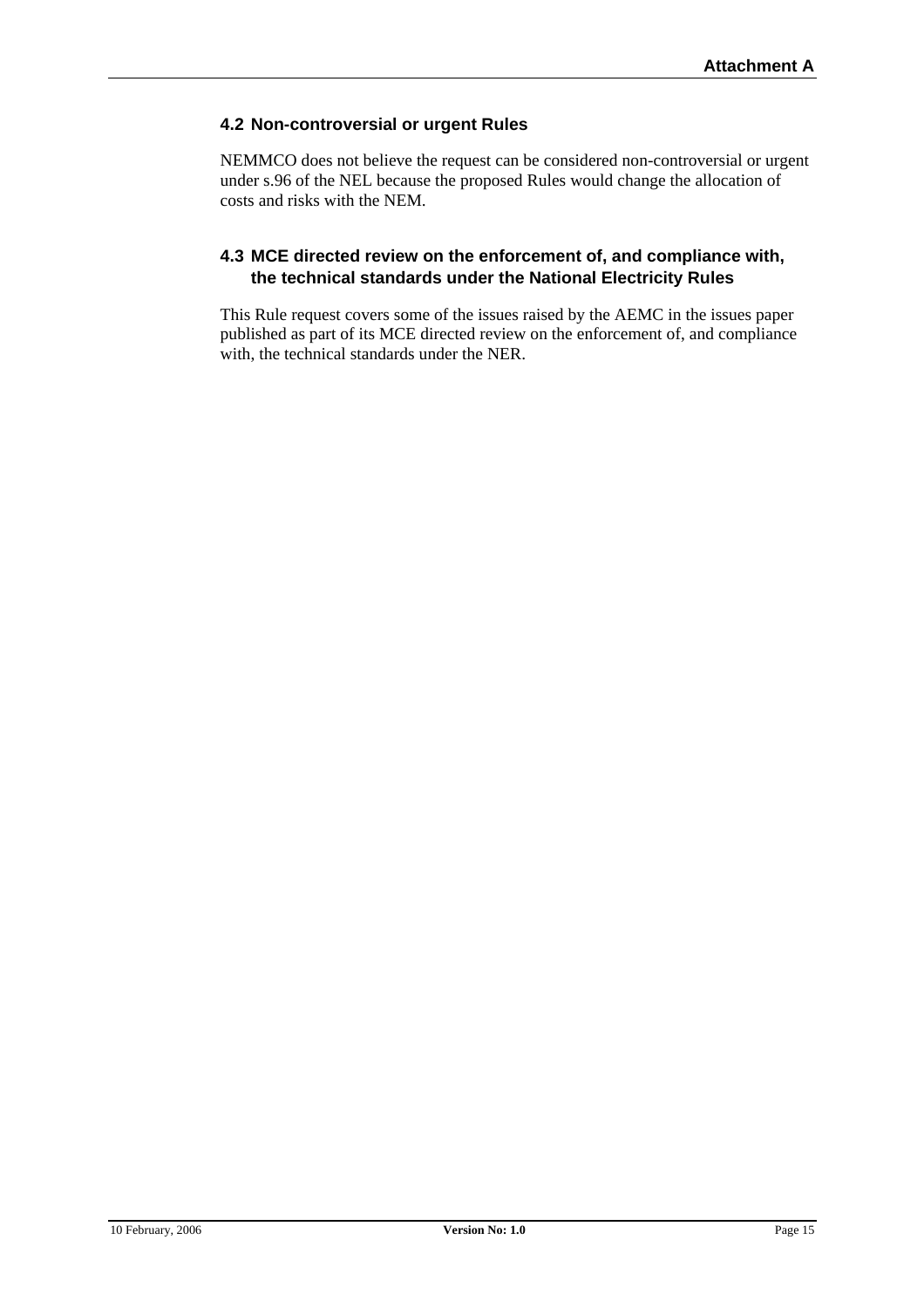# **4.2 Non-controversial or urgent Rules**

NEMMCO does not believe the request can be considered non-controversial or urgent under s.96 of the NEL because the proposed Rules would change the allocation of costs and risks with the NEM.

# **4.3 MCE directed review on the enforcement of, and compliance with, the technical standards under the National Electricity Rules**

This Rule request covers some of the issues raised by the AEMC in the issues paper published as part of its MCE directed review on the enforcement of, and compliance with, the technical standards under the NER.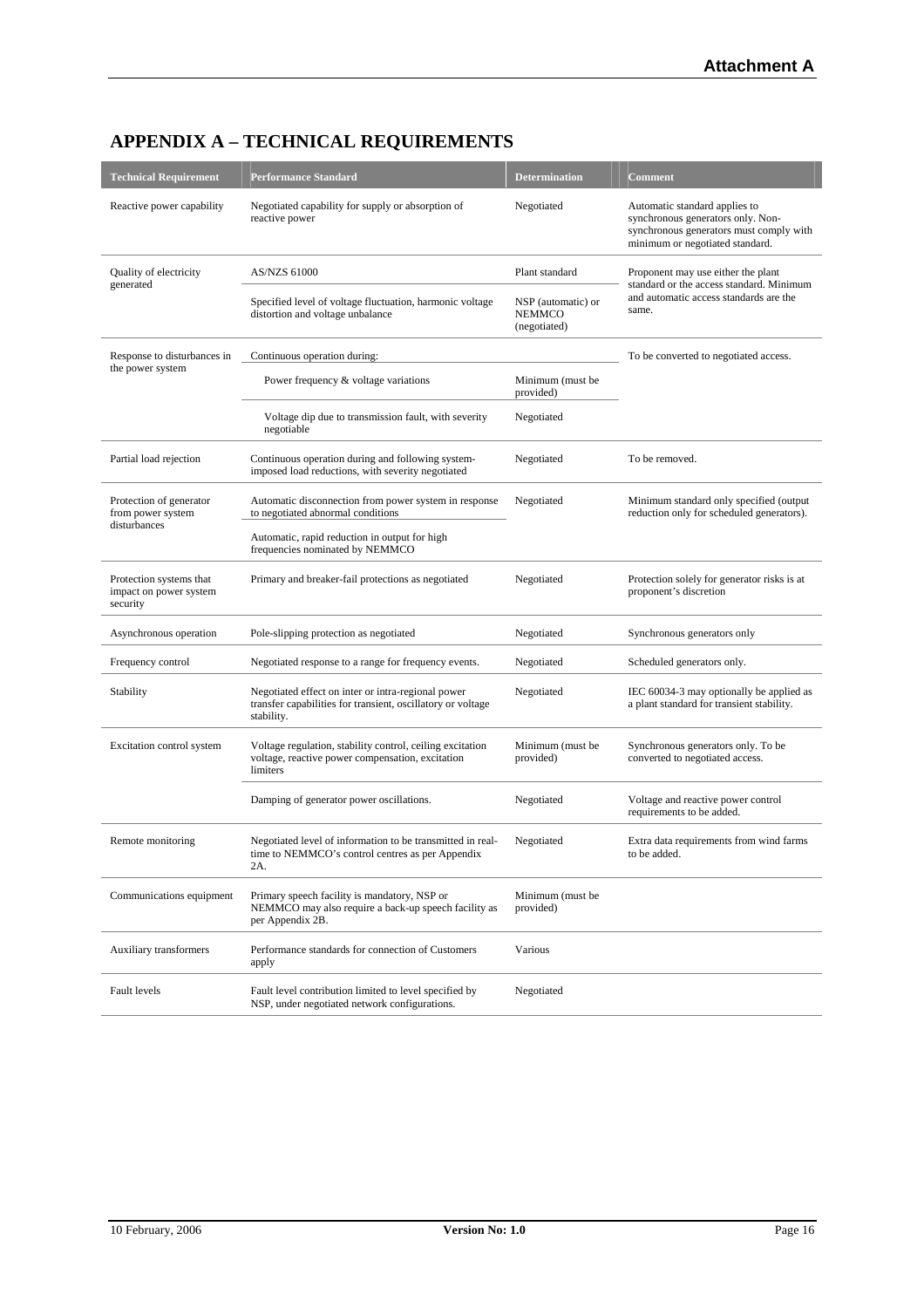| <b>Technical Requirement</b>                                  | <b>Performance Standard</b>                                                                                                     | <b>Determination</b>                                | <b>Comment</b>                                                                                                                                   |  |
|---------------------------------------------------------------|---------------------------------------------------------------------------------------------------------------------------------|-----------------------------------------------------|--------------------------------------------------------------------------------------------------------------------------------------------------|--|
| Reactive power capability                                     | Negotiated capability for supply or absorption of<br>reactive power                                                             | Negotiated                                          | Automatic standard applies to<br>synchronous generators only. Non-<br>synchronous generators must comply with<br>minimum or negotiated standard. |  |
| Quality of electricity<br>generated                           | <b>AS/NZS 61000</b>                                                                                                             | Plant standard                                      | Proponent may use either the plant<br>standard or the access standard. Minimum                                                                   |  |
|                                                               | Specified level of voltage fluctuation, harmonic voltage<br>distortion and voltage unbalance                                    | NSP (automatic) or<br><b>NEMMCO</b><br>(negotiated) | and automatic access standards are the<br>same.                                                                                                  |  |
| Response to disturbances in                                   | Continuous operation during:                                                                                                    |                                                     | To be converted to negotiated access.                                                                                                            |  |
| the power system                                              | Power frequency & voltage variations                                                                                            | Minimum (must be<br>provided)                       |                                                                                                                                                  |  |
|                                                               | Voltage dip due to transmission fault, with severity<br>negotiable                                                              | Negotiated                                          |                                                                                                                                                  |  |
| Partial load rejection                                        | Continuous operation during and following system-<br>imposed load reductions, with severity negotiated                          | Negotiated                                          | To be removed.                                                                                                                                   |  |
| Protection of generator<br>from power system<br>disturbances  | Automatic disconnection from power system in response<br>to negotiated abnormal conditions                                      | Negotiated                                          | Minimum standard only specified (output<br>reduction only for scheduled generators).                                                             |  |
|                                                               | Automatic, rapid reduction in output for high<br>frequencies nominated by NEMMCO                                                |                                                     |                                                                                                                                                  |  |
| Protection systems that<br>impact on power system<br>security | Primary and breaker-fail protections as negotiated                                                                              | Negotiated                                          | Protection solely for generator risks is at<br>proponent's discretion                                                                            |  |
| Asynchronous operation                                        | Pole-slipping protection as negotiated                                                                                          | Negotiated                                          | Synchronous generators only                                                                                                                      |  |
| Frequency control                                             | Negotiated response to a range for frequency events.                                                                            | Negotiated                                          | Scheduled generators only.                                                                                                                       |  |
| Stability                                                     | Negotiated effect on inter or intra-regional power<br>transfer capabilities for transient, oscillatory or voltage<br>stability. | Negotiated                                          | IEC 60034-3 may optionally be applied as<br>a plant standard for transient stability.                                                            |  |
| Excitation control system                                     | Voltage regulation, stability control, ceiling excitation<br>voltage, reactive power compensation, excitation<br>limiters       | Minimum (must be<br>provided)                       | Synchronous generators only. To be<br>converted to negotiated access.                                                                            |  |
|                                                               | Damping of generator power oscillations.                                                                                        | Negotiated                                          | Voltage and reactive power control<br>requirements to be added.                                                                                  |  |
| Remote monitoring                                             | Negotiated level of information to be transmitted in real-<br>time to NEMMCO's control centres as per Appendix<br>2A.           | Negotiated                                          | Extra data requirements from wind farms<br>to be added.                                                                                          |  |
| Communications equipment                                      | Primary speech facility is mandatory, NSP or<br>NEMMCO may also require a back-up speech facility as<br>per Appendix 2B.        | Minimum (must be<br>provided)                       |                                                                                                                                                  |  |
| Auxiliary transformers                                        | Performance standards for connection of Customers<br>apply                                                                      | Various                                             |                                                                                                                                                  |  |
| Fault levels                                                  | Fault level contribution limited to level specified by<br>NSP, under negotiated network configurations.                         | Negotiated                                          |                                                                                                                                                  |  |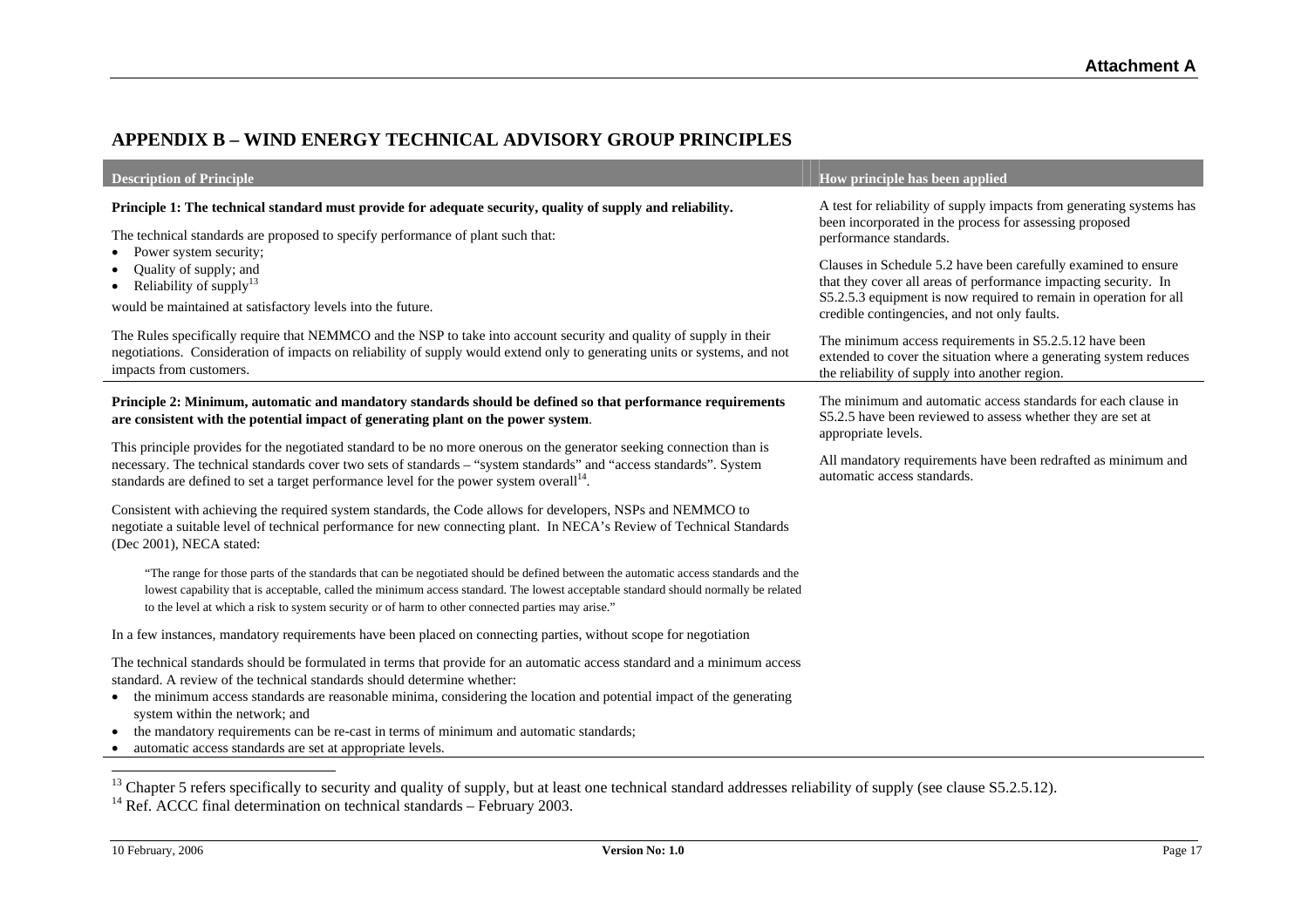# **APPENDIX B – WIND ENERGY TECHNICAL ADVISORY GROUP PRINCIPLES**

| <b>Description of Principle</b>                                                                                                                                                                                                                                                                                                                                                                                                                                                                                     | How principle has been applied                                                                                                                                                                                                                         |
|---------------------------------------------------------------------------------------------------------------------------------------------------------------------------------------------------------------------------------------------------------------------------------------------------------------------------------------------------------------------------------------------------------------------------------------------------------------------------------------------------------------------|--------------------------------------------------------------------------------------------------------------------------------------------------------------------------------------------------------------------------------------------------------|
| Principle 1: The technical standard must provide for adequate security, quality of supply and reliability.<br>The technical standards are proposed to specify performance of plant such that:                                                                                                                                                                                                                                                                                                                       | A test for reliability of supply impacts from generating systems has<br>been incorporated in the process for assessing proposed<br>performance standards.                                                                                              |
| • Power system security;<br>Quality of supply; and<br>• Reliability of supply <sup>13</sup><br>would be maintained at satisfactory levels into the future.                                                                                                                                                                                                                                                                                                                                                          | Clauses in Schedule 5.2 have been carefully examined to ensure<br>that they cover all areas of performance impacting security. In<br>S5.2.5.3 equipment is now required to remain in operation for all<br>credible contingencies, and not only faults. |
| The Rules specifically require that NEMMCO and the NSP to take into account security and quality of supply in their<br>negotiations. Consideration of impacts on reliability of supply would extend only to generating units or systems, and not<br>impacts from customers.                                                                                                                                                                                                                                         | The minimum access requirements in S5.2.5.12 have been<br>extended to cover the situation where a generating system reduces<br>the reliability of supply into another region.                                                                          |
| Principle 2: Minimum, automatic and mandatory standards should be defined so that performance requirements<br>are consistent with the potential impact of generating plant on the power system.                                                                                                                                                                                                                                                                                                                     | The minimum and automatic access standards for each clause in<br>S5.2.5 have been reviewed to assess whether they are set at<br>appropriate levels.                                                                                                    |
| This principle provides for the negotiated standard to be no more onerous on the generator seeking connection than is<br>necessary. The technical standards cover two sets of standards - "system standards" and "access standards". System<br>standards are defined to set a target performance level for the power system overall <sup>14</sup> .                                                                                                                                                                 | All mandatory requirements have been redrafted as minimum and<br>automatic access standards.                                                                                                                                                           |
| Consistent with achieving the required system standards, the Code allows for developers, NSPs and NEMMCO to<br>negotiate a suitable level of technical performance for new connecting plant. In NECA's Review of Technical Standards<br>(Dec 2001), NECA stated:                                                                                                                                                                                                                                                    |                                                                                                                                                                                                                                                        |
| "The range for those parts of the standards that can be negotiated should be defined between the automatic access standards and the<br>lowest capability that is acceptable, called the minimum access standard. The lowest acceptable standard should normally be related<br>to the level at which a risk to system security or of harm to other connected parties may arise."                                                                                                                                     |                                                                                                                                                                                                                                                        |
| In a few instances, mandatory requirements have been placed on connecting parties, without scope for negotiation                                                                                                                                                                                                                                                                                                                                                                                                    |                                                                                                                                                                                                                                                        |
| The technical standards should be formulated in terms that provide for an automatic access standard and a minimum access<br>standard. A review of the technical standards should determine whether:<br>the minimum access standards are reasonable minima, considering the location and potential impact of the generating<br>system within the network; and<br>the mandatory requirements can be re-cast in terms of minimum and automatic standards;<br>automatic access standards are set at appropriate levels. |                                                                                                                                                                                                                                                        |

<span id="page-16-1"></span><sup>&</sup>lt;sup>13</sup> Chapter 5 refers specifically to security and quality of supply, but at least one technical standard addresses reliability of supply (see clause S5.2.5.12).

<span id="page-16-0"></span> $14$  Ref. ACCC final determination on technical standards – February 2003.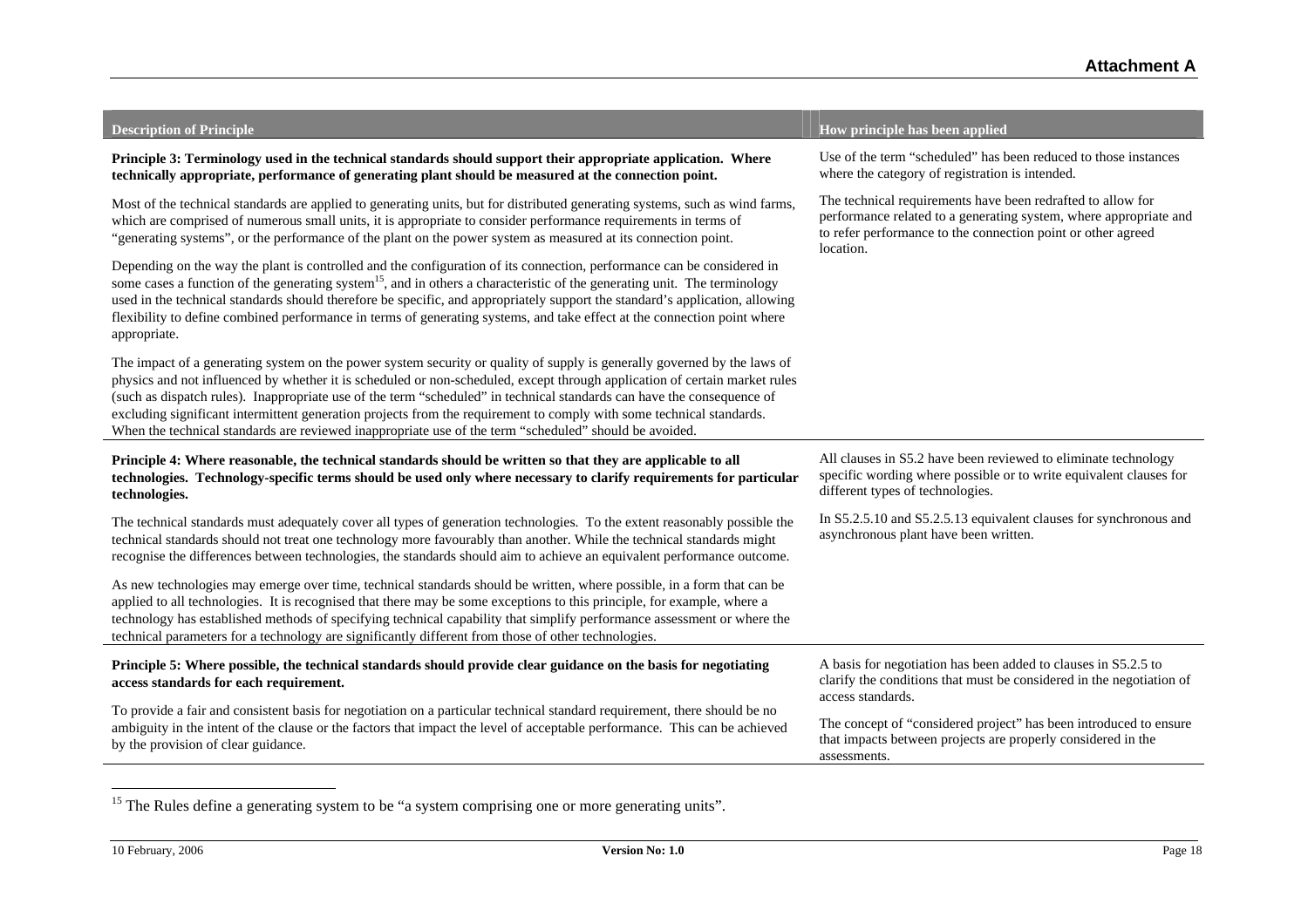| <b>Description of Principle</b>                                                                                                                                                                                                                                                                                                                                                                                                                                                                                                                                                                                    | How principle has been applied                                                                                                                                                                                |
|--------------------------------------------------------------------------------------------------------------------------------------------------------------------------------------------------------------------------------------------------------------------------------------------------------------------------------------------------------------------------------------------------------------------------------------------------------------------------------------------------------------------------------------------------------------------------------------------------------------------|---------------------------------------------------------------------------------------------------------------------------------------------------------------------------------------------------------------|
| Principle 3: Terminology used in the technical standards should support their appropriate application. Where<br>technically appropriate, performance of generating plant should be measured at the connection point.                                                                                                                                                                                                                                                                                                                                                                                               | Use of the term "scheduled" has been reduced to those instances<br>where the category of registration is intended.                                                                                            |
| Most of the technical standards are applied to generating units, but for distributed generating systems, such as wind farms,<br>which are comprised of numerous small units, it is appropriate to consider performance requirements in terms of<br>"generating systems", or the performance of the plant on the power system as measured at its connection point.                                                                                                                                                                                                                                                  | The technical requirements have been redrafted to allow for<br>performance related to a generating system, where appropriate and<br>to refer performance to the connection point or other agreed<br>location. |
| Depending on the way the plant is controlled and the configuration of its connection, performance can be considered in<br>some cases a function of the generating system <sup>15</sup> , and in others a characteristic of the generating unit. The terminology<br>used in the technical standards should therefore be specific, and appropriately support the standard's application, allowing<br>flexibility to define combined performance in terms of generating systems, and take effect at the connection point where<br>appropriate.                                                                        |                                                                                                                                                                                                               |
| The impact of a generating system on the power system security or quality of supply is generally governed by the laws of<br>physics and not influenced by whether it is scheduled or non-scheduled, except through application of certain market rules<br>(such as dispatch rules). Inappropriate use of the term "scheduled" in technical standards can have the consequence of<br>excluding significant intermittent generation projects from the requirement to comply with some technical standards.<br>When the technical standards are reviewed inappropriate use of the term "scheduled" should be avoided. |                                                                                                                                                                                                               |
| Principle 4: Where reasonable, the technical standards should be written so that they are applicable to all<br>technologies. Technology-specific terms should be used only where necessary to clarify requirements for particular<br>technologies.                                                                                                                                                                                                                                                                                                                                                                 | All clauses in S5.2 have been reviewed to eliminate technology<br>specific wording where possible or to write equivalent clauses for<br>different types of technologies.                                      |
| The technical standards must adequately cover all types of generation technologies. To the extent reasonably possible the<br>technical standards should not treat one technology more favourably than another. While the technical standards might<br>recognise the differences between technologies, the standards should aim to achieve an equivalent performance outcome.                                                                                                                                                                                                                                       | In S5.2.5.10 and S5.2.5.13 equivalent clauses for synchronous and<br>asynchronous plant have been written.                                                                                                    |
| As new technologies may emerge over time, technical standards should be written, where possible, in a form that can be<br>applied to all technologies. It is recognised that there may be some exceptions to this principle, for example, where a<br>technology has established methods of specifying technical capability that simplify performance assessment or where the<br>technical parameters for a technology are significantly different from those of other technologies.                                                                                                                                |                                                                                                                                                                                                               |
| Principle 5: Where possible, the technical standards should provide clear guidance on the basis for negotiating<br>access standards for each requirement.                                                                                                                                                                                                                                                                                                                                                                                                                                                          | A basis for negotiation has been added to clauses in S5.2.5 to<br>clarify the conditions that must be considered in the negotiation of<br>access standards.                                                   |
| To provide a fair and consistent basis for negotiation on a particular technical standard requirement, there should be no<br>ambiguity in the intent of the clause or the factors that impact the level of acceptable performance. This can be achieved<br>by the provision of clear guidance.                                                                                                                                                                                                                                                                                                                     | The concept of "considered project" has been introduced to ensure<br>that impacts between projects are properly considered in the<br>assessments.                                                             |

<span id="page-17-0"></span><sup>&</sup>lt;sup>15</sup> The Rules define a generating system to be "a system comprising one or more generating units".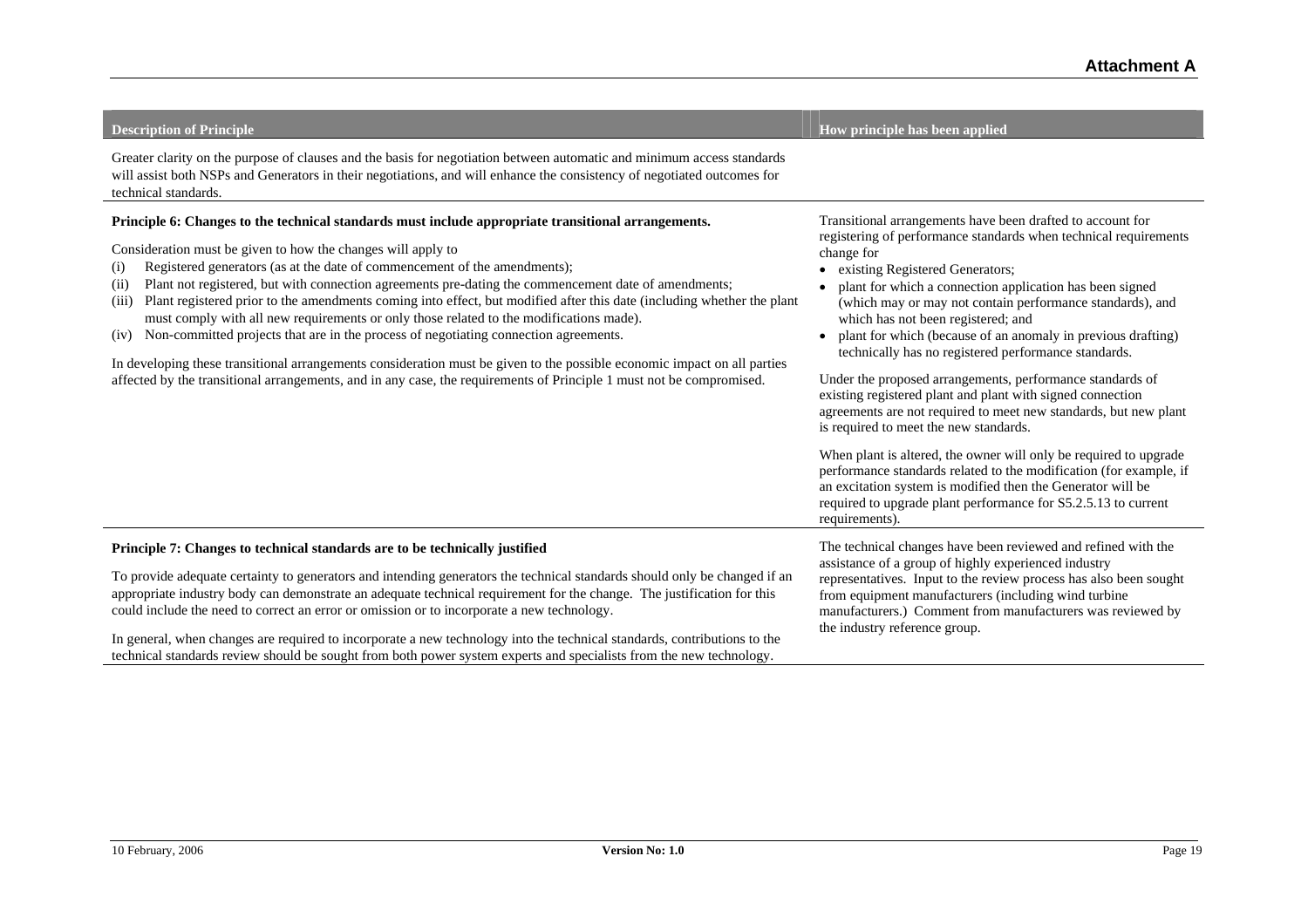| Greater clarity on the purpose of clauses and the basis for negotiation between automatic and minimum access standards<br>will assist both NSPs and Generators in their negotiations, and will enhance the consistency of negotiated outcomes for<br>technical standards.                                                                                                                                                                                                                                                                                                                                                                                                                                                                                                                                                                                                                                                                                |                                                                                                                                                                                                                                                                                                                                                                                                                                                                                                                                                                                                                                                                                                                                                                                                                                                                                                                                                                                                               |
|----------------------------------------------------------------------------------------------------------------------------------------------------------------------------------------------------------------------------------------------------------------------------------------------------------------------------------------------------------------------------------------------------------------------------------------------------------------------------------------------------------------------------------------------------------------------------------------------------------------------------------------------------------------------------------------------------------------------------------------------------------------------------------------------------------------------------------------------------------------------------------------------------------------------------------------------------------|---------------------------------------------------------------------------------------------------------------------------------------------------------------------------------------------------------------------------------------------------------------------------------------------------------------------------------------------------------------------------------------------------------------------------------------------------------------------------------------------------------------------------------------------------------------------------------------------------------------------------------------------------------------------------------------------------------------------------------------------------------------------------------------------------------------------------------------------------------------------------------------------------------------------------------------------------------------------------------------------------------------|
| Principle 6: Changes to the technical standards must include appropriate transitional arrangements.<br>Consideration must be given to how the changes will apply to<br>Registered generators (as at the date of commencement of the amendments);<br>(i)<br>Plant not registered, but with connection agreements pre-dating the commencement date of amendments;<br>(i)<br>Plant registered prior to the amendments coming into effect, but modified after this date (including whether the plant<br>(iii)<br>must comply with all new requirements or only those related to the modifications made).<br>Non-committed projects that are in the process of negotiating connection agreements.<br>(iv)<br>In developing these transitional arrangements consideration must be given to the possible economic impact on all parties<br>affected by the transitional arrangements, and in any case, the requirements of Principle 1 must not be compromised. | Transitional arrangements have been drafted to account for<br>registering of performance standards when technical requirements<br>change for<br>existing Registered Generators;<br>plant for which a connection application has been signed<br>(which may or may not contain performance standards), and<br>which has not been registered; and<br>plant for which (because of an anomaly in previous drafting)<br>technically has no registered performance standards.<br>Under the proposed arrangements, performance standards of<br>existing registered plant and plant with signed connection<br>agreements are not required to meet new standards, but new plant<br>is required to meet the new standards.<br>When plant is altered, the owner will only be required to upgrade<br>performance standards related to the modification (for example, if<br>an excitation system is modified then the Generator will be<br>required to upgrade plant performance for S5.2.5.13 to current<br>requirements). |
| Principle 7: Changes to technical standards are to be technically justified<br>To provide adequate certainty to generators and intending generators the technical standards should only be changed if an<br>appropriate industry body can demonstrate an adequate technical requirement for the change. The justification for this<br>could include the need to correct an error or omission or to incorporate a new technology.<br>In general, when changes are required to incorporate a new technology into the technical standards, contributions to the<br>technical standards review should be sought from both power system experts and specialists from the new technology.                                                                                                                                                                                                                                                                      | The technical changes have been reviewed and refined with the<br>assistance of a group of highly experienced industry<br>representatives. Input to the review process has also been sought<br>from equipment manufacturers (including wind turbine<br>manufacturers.) Comment from manufacturers was reviewed by<br>the industry reference group.                                                                                                                                                                                                                                                                                                                                                                                                                                                                                                                                                                                                                                                             |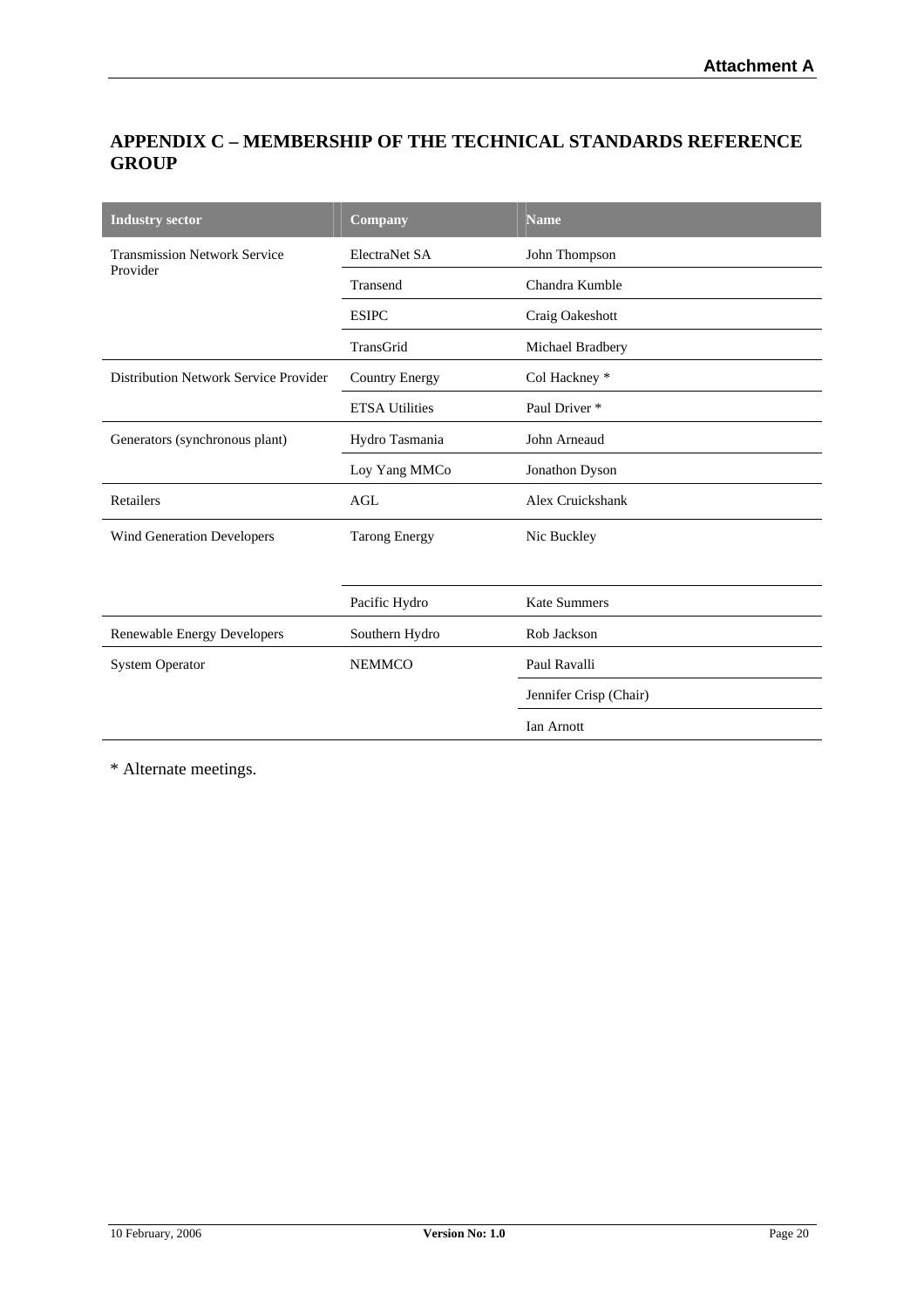# **APPENDIX C – MEMBERSHIP OF THE TECHNICAL STANDARDS REFERENCE GROUP**

| <b>Industry sector</b>                | Company               | <b>Name</b>              |  |
|---------------------------------------|-----------------------|--------------------------|--|
| <b>Transmission Network Service</b>   | ElectraNet SA         | John Thompson            |  |
| Provider                              | Transend              | Chandra Kumble           |  |
|                                       | <b>ESIPC</b>          | Craig Oakeshott          |  |
|                                       | TransGrid             | Michael Bradbery         |  |
| Distribution Network Service Provider | <b>Country Energy</b> | Col Hackney *            |  |
|                                       | <b>ETSA Utilities</b> | Paul Driver <sup>*</sup> |  |
| Generators (synchronous plant)        | Hydro Tasmania        | John Arneaud             |  |
|                                       | Loy Yang MMCo         | Jonathon Dyson           |  |
| Retailers                             | <b>AGL</b>            | Alex Cruickshank         |  |
| <b>Wind Generation Developers</b>     | <b>Tarong Energy</b>  | Nic Buckley              |  |
|                                       |                       |                          |  |
|                                       | Pacific Hydro         | <b>Kate Summers</b>      |  |
| Renewable Energy Developers           | Southern Hydro        | Rob Jackson              |  |
| <b>System Operator</b>                | <b>NEMMCO</b>         | Paul Ravalli             |  |
|                                       |                       | Jennifer Crisp (Chair)   |  |
|                                       |                       | Ian Arnott               |  |

\* Alternate meetings.